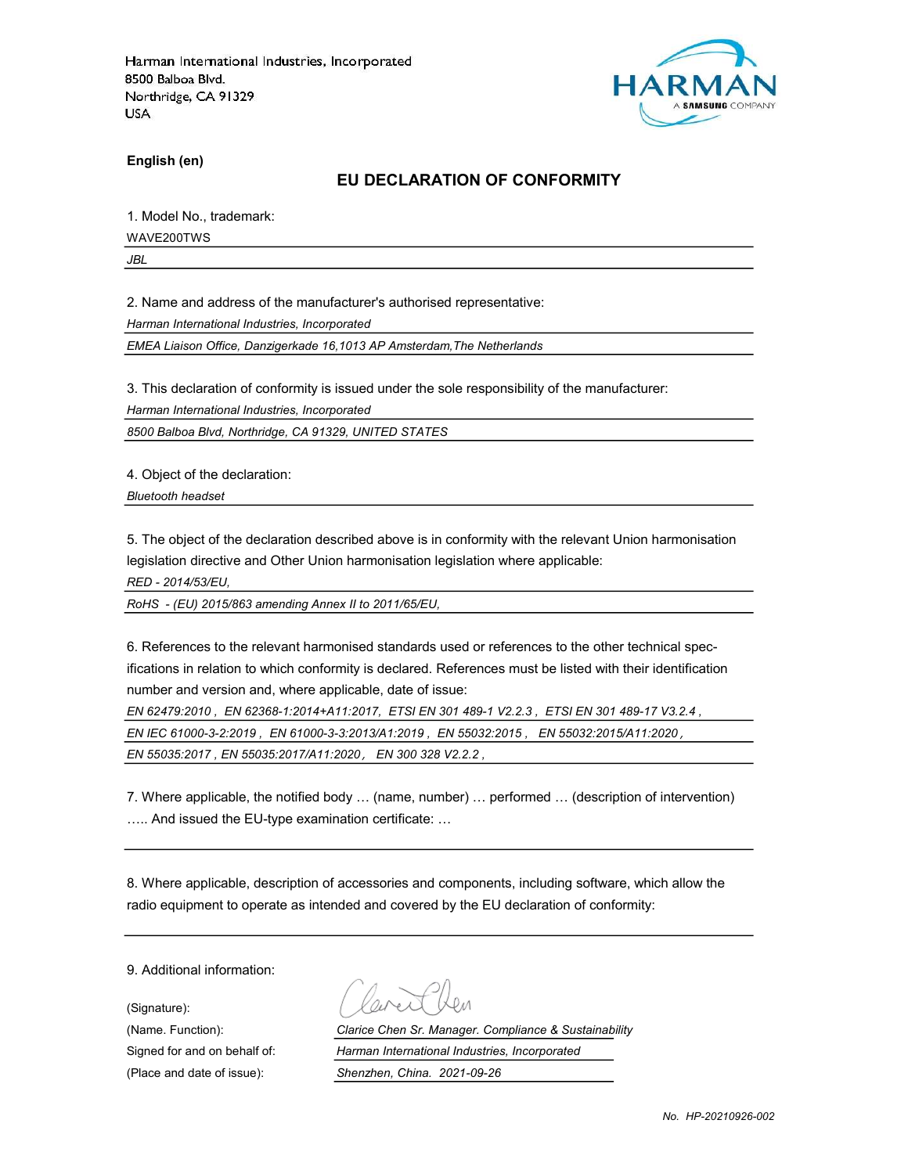

English (en)

#### EU DECLARATION OF CONFORMITY

1. Model No., trademark:

WAVE200TWS

JBL

2. Name and address of the manufacturer's authorised representative:

Harman International Industries, Incorporated

EMEA Liaison Office, Danzigerkade 16,1013 AP Amsterdam,The Netherlands

3. This declaration of conformity is issued under the sole responsibility of the manufacturer:

Harman International Industries, Incorporated

8500 Balboa Blvd, Northridge, CA 91329, UNITED STATES

4. Object of the declaration:

Bluetooth headset

5. The object of the declaration described above is in conformity with the relevant Union harmonisation legislation directive and Other Union harmonisation legislation where applicable:

RED - 2014/53/EU,

RoHS - (EU) 2015/863 amending Annex II to 2011/65/EU,

6. References to the relevant harmonised standards used or references to the other technical specifications in relation to which conformity is declared. References must be listed with their identification number and version and, where applicable, date of issue:

EN 62479:2010 , EN 62368-1:2014+A11:2017, ETSI EN 301 489-1 V2.2.3 , ETSI EN 301 489-17 V3.2.4 , EN IEC 61000-3-2:2019 , EN 61000-3-3:2013/A1:2019 , EN 55032:2015 , EN 55032:2015/A11:2020, EN 55035:2017 , EN 55035:2017/A11:2020, EN 300 328 V2.2.2 ,

7. Where applicable, the notified body … (name, number) … performed … (description of intervention) ….. And issued the EU-type examination certificate: …

8. Where applicable, description of accessories and components, including software, which allow the radio equipment to operate as intended and covered by the EU declaration of conformity:

9. Additional information:

(Signature):

(Name. Function): Clarice Chen Sr. Manager. Compliance & Sustainability Signed for and on behalf of: Harman International Industries, Incorporated (Place and date of issue): Shenzhen, China. 2021-09-26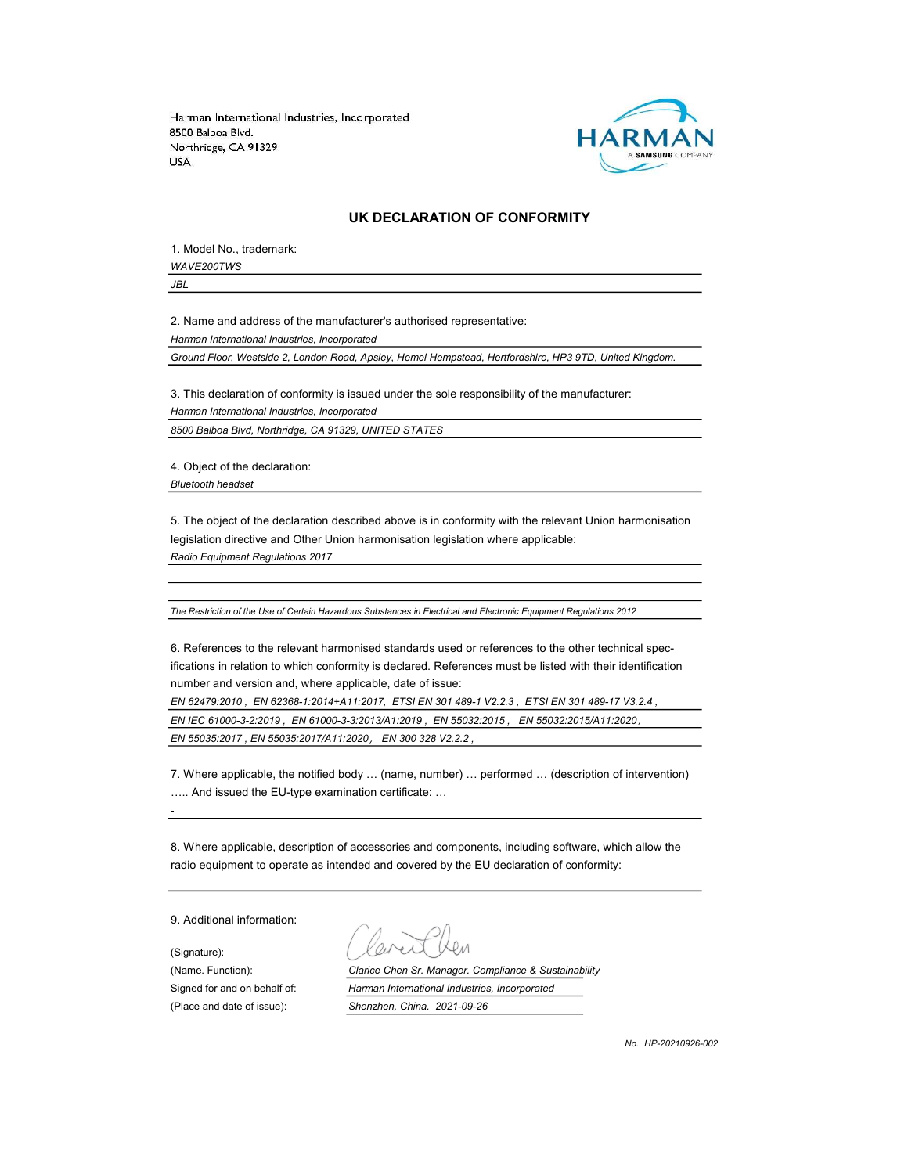

#### UK DECLARATION OF CONFORMITY

1. Model No., trademark: WAVE200TWS

JBL

2. Name and address of the manufacturer's authorised representative: Harman International Industries, Incorporated

Ground Floor, Westside 2, London Road, Apsley, Hemel Hempstead, Hertfordshire, HP3 9TD, United Kingdom.

3. This declaration of conformity is issued under the sole responsibility of the manufacturer:

Harman International Industries, Incorporated

8500 Balboa Blvd, Northridge, CA 91329, UNITED STATES

4. Object of the declaration: Bluetooth headset

5. The object of the declaration described above is in conformity with the relevant Union harmonisation legislation directive and Other Union harmonisation legislation where applicable: Radio Equipment Regulations 2017

The Restriction of the Use of Certain Hazardous Substances in Electrical and Electronic Equipment Regulations 2012

6. References to the relevant harmonised standards used or references to the other technical specifications in relation to which conformity is declared. References must be listed with their identification number and version and, where applicable, date of issue:

EN 62479:2010 , EN 62368-1:2014+A11:2017, ETSI EN 301 489-1 V2.2.3 , ETSI EN 301 489-17 V3.2.4 , EN IEC 61000-3-2:2019 , EN 61000-3-3:2013/A1:2019 , EN 55032:2015 , EN 55032:2015/A11:2020, EN 55035:2017 , EN 55035:2017/A11:2020, EN 300 328 V2.2.2 ,

7. Where applicable, the notified body … (name, number) … performed … (description of intervention) ….. And issued the EU-type examination certificate: …

8. Where applicable, description of accessories and components, including software, which allow the radio equipment to operate as intended and covered by the EU declaration of conformity:

9. Additional information:

-

(Signature): (Place and date of issue): Shenzhen, China. 2021-09-26

(Name. Function): Clarice Chen Sr. Manager. Compliance & Sustainability Signed for and on behalf of: Harman International Industries, Incorporated

No. HP-20210926-002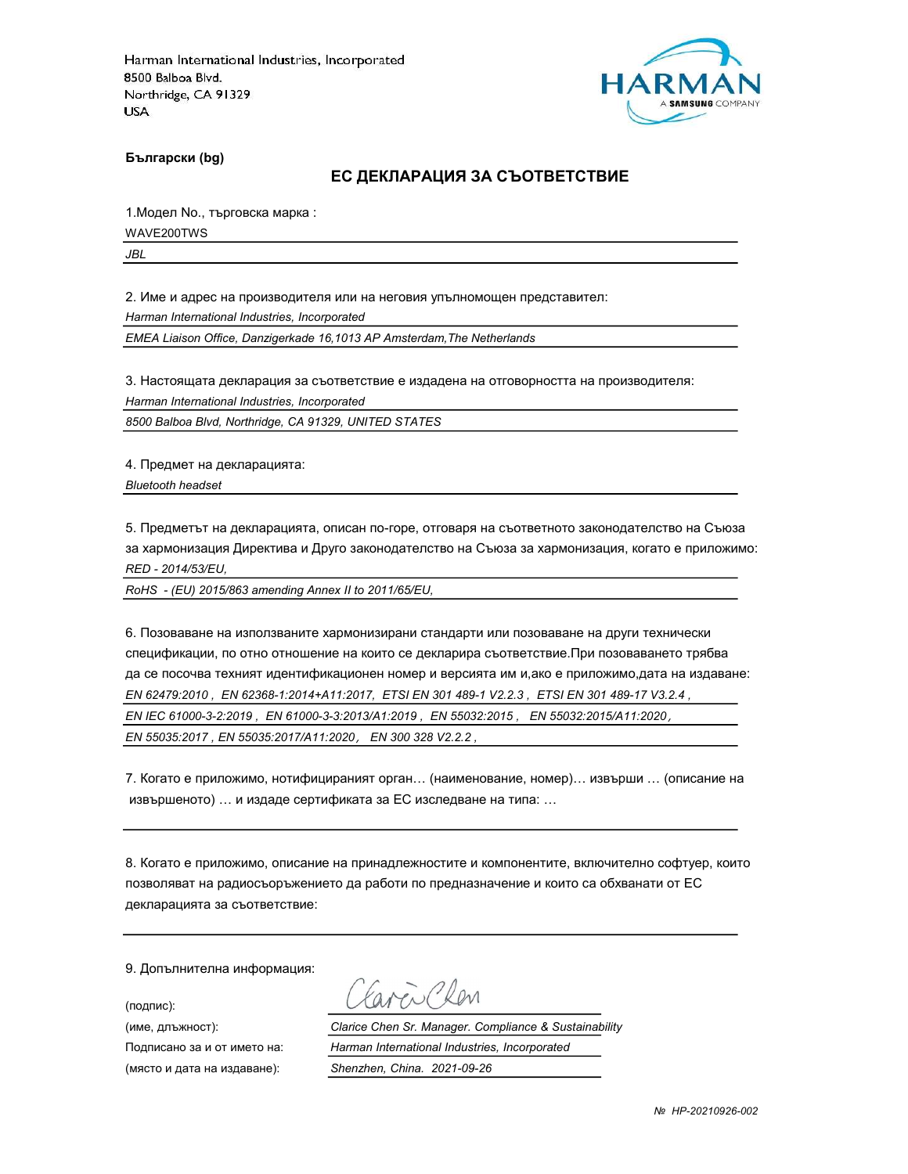

Български (bg)

#### ЕС ДЕКЛАРАЦИЯ ЗА СЪОТВЕТСТВИЕ

1.Модел No., търговска марка :

WAVE200TWS

JBL

2. Име и адрес на производителя или на неговия упълномощен представител:

Harman International Industries, Incorporated

EMEA Liaison Office, Danzigerkade 16,1013 AP Amsterdam,The Netherlands

3. Настоящата декларация за съответствие е издадена на отговорността на производителя:

Harman International Industries, Incorporated

8500 Balboa Blvd, Northridge, CA 91329, UNITED STATES

4. Предмет на декларацията: Bluetooth headset

5. Предметът на декларацията, описан по-горе, отговаря на съответното законодателство на Съюза за хармонизация Директива и Друго законодателство на Съюза за хармонизация, когато е приложимо: RED - 2014/53/EU,

RoHS - (EU) 2015/863 amending Annex II to 2011/65/EU,

6. Позоваване на използваните хармонизирани стандарти или позоваване на други технически спецификации, по отно отношение на които се декларира съответствие.При позоваването трябва да се посочва техният идентификационен номер и версията им и,ако е приложимо,дата на издаване: EN 62479:2010 , EN 62368-1:2014+A11:2017, ETSI EN 301 489-1 V2.2.3 , ETSI EN 301 489-17 V3.2.4 , EN IEC 61000-3-2:2019 , EN 61000-3-3:2013/A1:2019 , EN 55032:2015 , EN 55032:2015/A11:2020, EN 55035:2017 , EN 55035:2017/A11:2020, EN 300 328 V2.2.2 ,

7. Когато е приложимо, нотифицираният орган… (наименование, номер)… извърши … (описание на извършеното) … и издаде сертификата за ЕС изследване на типа: …

8. Когато е приложимо, описание на принадлежностите и компонентите, включително софтуер, които позволяват на радиосъоръжението да работи по предназначение и които са обхванати от ЕС декларацията за съответствие:

9. Допълнителна информация:

(подпис):

Carcio Clen

(име, длъжност): Clarice Chen Sr. Manager. Compliance & Sustainability Подписано за и от името на: Harman International Industries, Incorporated (място и дата на издаване): Shenzhen, China. 2021-09-26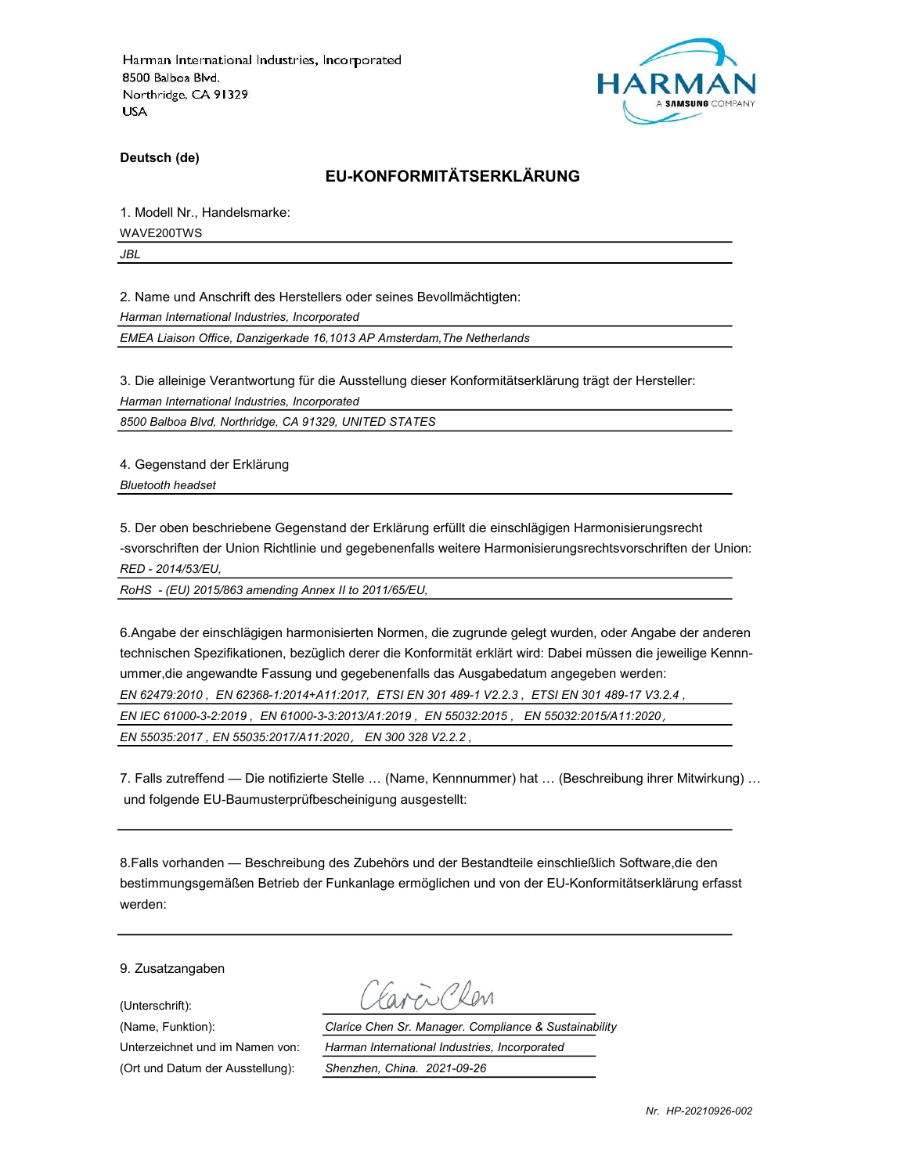

Deutsch (de)

# EU-KONFORMITÄTSERKLÄRUNG

1. Modell Nr., Handelsmarke:

WAVE200TWS

JBL

2. Name und Anschrift des Herstellers oder seines Bevollmächtigten:

Harman International Industries, Incorporated

EMEA Liaison Office, Danzigerkade 16,1013 AP Amsterdam,The Netherlands

3. Die alleinige Verantwortung für die Ausstellung dieser Konformitätserklärung trägt der Hersteller: Harman International Industries, Incorporated

8500 Balboa Blvd, Northridge, CA 91329, UNITED STATES

4. Gegenstand der Erklärung

Bluetooth headset

5. Der oben beschriebene Gegenstand der Erklärung erfüllt die einschlägigen Harmonisierungsrecht -svorschriften der Union Richtlinie und gegebenenfalls weitere Harmonisierungsrechtsvorschriften der Union: RED - 2014/53/EU,

RoHS - (EU) 2015/863 amending Annex II to 2011/65/EU,

6.Angabe der einschlägigen harmonisierten Normen, die zugrunde gelegt wurden, oder Angabe der anderen technischen Spezifikationen, bezüglich derer die Konformität erklärt wird: Dabei müssen die jeweilige Kennnummer,die angewandte Fassung und gegebenenfalls das Ausgabedatum angegeben werden:

EN 62479:2010 , EN 62368-1:2014+A11:2017, ETSI EN 301 489-1 V2.2.3 , ETSI EN 301 489-17 V3.2.4 ,

EN IEC 61000-3-2:2019 , EN 61000-3-3:2013/A1:2019 , EN 55032:2015 , EN 55032:2015/A11:2020,

EN 55035:2017 , EN 55035:2017/A11:2020, EN 300 328 V2.2.2 ,

7. Falls zutreffend — Die notifizierte Stelle … (Name, Kennnummer) hat … (Beschreibung ihrer Mitwirkung) … und folgende EU-Baumusterprüfbescheinigung ausgestellt:

8.Falls vorhanden — Beschreibung des Zubehörs und der Bestandteile einschließlich Software,die den bestimmungsgemäßen Betrieb der Funkanlage ermöglichen und von der EU-Konformitätserklärung erfasst werden:

9. Zusatzangaben

(Unterschrift):

(Ort und Datum der Ausstellung): Shenzhen, China. 2021-09-26

Favor Clen

(Name, Funktion): Clarice Chen Sr. Manager. Compliance & Sustainability Unterzeichnet und im Namen von: Harman International Industries, Incorporated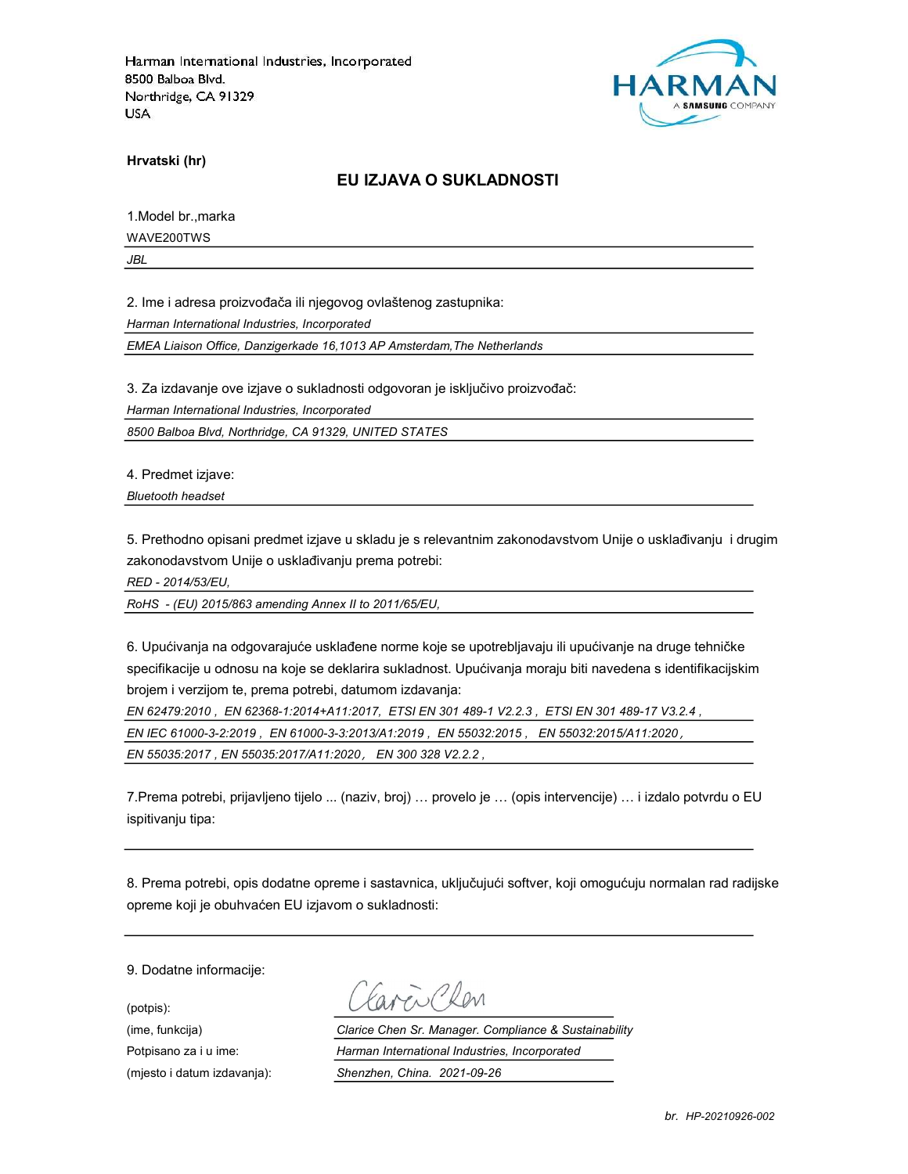

Hrvatski (hr)

### EU IZJAVA O SUKLADNOSTI

1.Model br.,marka WAVE200TWS

JBL

2. Ime i adresa proizvođača ili njegovog ovlaštenog zastupnika:

Harman International Industries, Incorporated

EMEA Liaison Office, Danzigerkade 16,1013 AP Amsterdam,The Netherlands

3. Za izdavanje ove izjave o sukladnosti odgovoran je isključivo proizvođač:

Harman International Industries, Incorporated

8500 Balboa Blvd, Northridge, CA 91329, UNITED STATES

4. Predmet izjave:

Bluetooth headset

5. Prethodno opisani predmet izjave u skladu je s relevantnim zakonodavstvom Unije o usklađivanju i drugim zakonodavstvom Unije o usklađivanju prema potrebi:

RED - 2014/53/EU,

RoHS - (EU) 2015/863 amending Annex II to 2011/65/EU,

6. Upućivanja na odgovarajuće usklađene norme koje se upotrebljavaju ili upućivanje na druge tehničke specifikacije u odnosu na koje se deklarira sukladnost. Upućivanja moraju biti navedena s identifikacijskim brojem i verzijom te, prema potrebi, datumom izdavanja:

EN 62479:2010 , EN 62368-1:2014+A11:2017, ETSI EN 301 489-1 V2.2.3 , ETSI EN 301 489-17 V3.2.4 , EN IEC 61000-3-2:2019 , EN 61000-3-3:2013/A1:2019 , EN 55032:2015 , EN 55032:2015/A11:2020, EN 55035:2017 , EN 55035:2017/A11:2020, EN 300 328 V2.2.2 ,

7.Prema potrebi, prijavljeno tijelo ... (naziv, broj) … provelo je … (opis intervencije) … i izdalo potvrdu o EU ispitivanju tipa:

8. Prema potrebi, opis dodatne opreme i sastavnica, uključujući softver, koji omogućuju normalan rad radijske opreme koji je obuhvaćen EU izjavom o sukladnosti:

9. Dodatne informacije:

(potpis):

aveillen

(ime, funkcija) Clarice Chen Sr. Manager. Compliance & Sustainability Potpisano za i u ime: <br>
Harman International Industries, Incorporated (mjesto i datum izdavanja): Shenzhen, China. 2021-09-26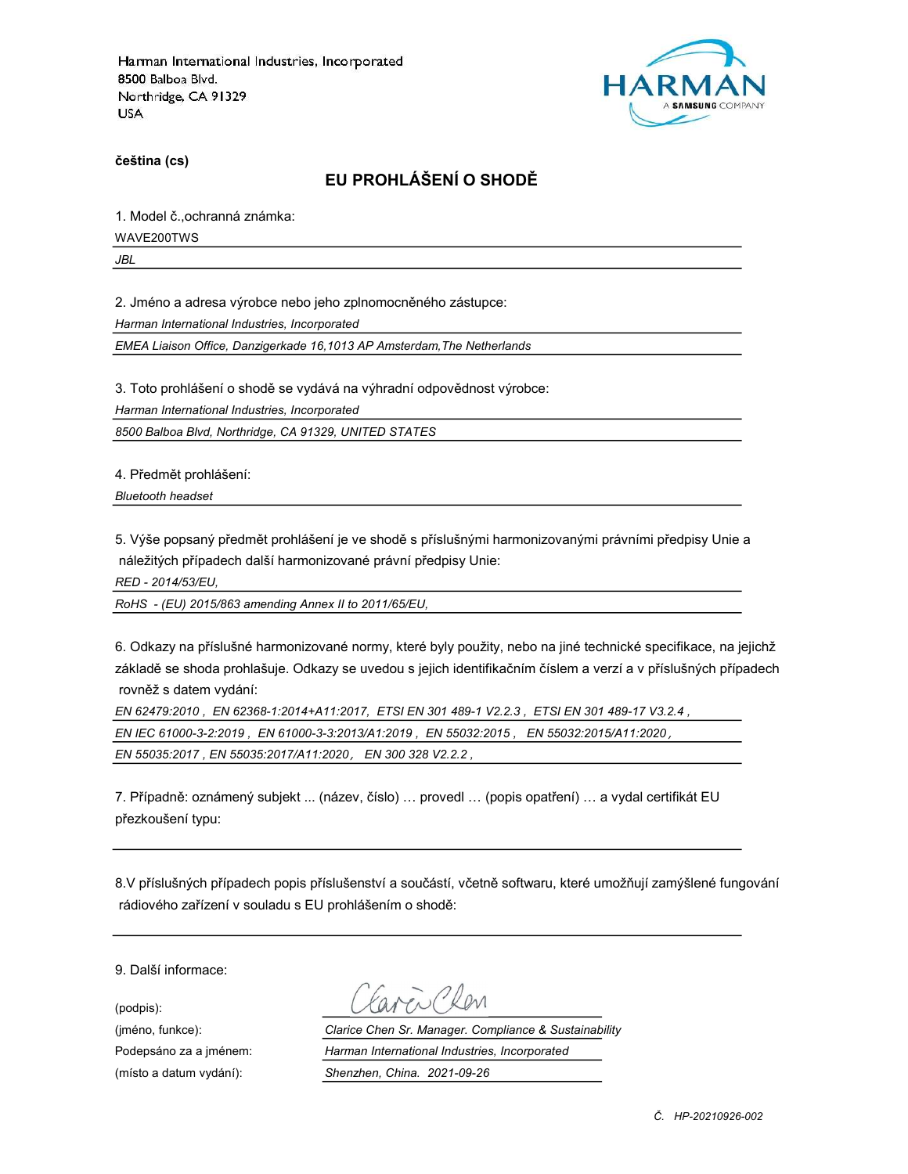

čeština (cs)

# EU PROHLÁŠENÍ O SHODĚ

1. Model č.,ochranná známka:

WAVE200TWS

JBL

2. Jméno a adresa výrobce nebo jeho zplnomocněného zástupce:

Harman International Industries, Incorporated

EMEA Liaison Office, Danzigerkade 16,1013 AP Amsterdam,The Netherlands

3. Toto prohlášení o shodě se vydává na výhradní odpovědnost výrobce:

Harman International Industries, Incorporated

8500 Balboa Blvd, Northridge, CA 91329, UNITED STATES

4. Předmět prohlášení:

Bluetooth headset

5. Výše popsaný předmět prohlášení je ve shodě s příslušnými harmonizovanými právními předpisy Unie a náležitých případech další harmonizované právní předpisy Unie:

RED - 2014/53/EU,

RoHS - (EU) 2015/863 amending Annex II to 2011/65/EU,

6. Odkazy na příslušné harmonizované normy, které byly použity, nebo na jiné technické specifikace, na jejichž základě se shoda prohlašuje. Odkazy se uvedou s jejich identifikačním číslem a verzí a v příslušných případech rovněž s datem vydání:

EN 62479:2010 , EN 62368-1:2014+A11:2017, ETSI EN 301 489-1 V2.2.3 , ETSI EN 301 489-17 V3.2.4 , EN IEC 61000-3-2:2019 , EN 61000-3-3:2013/A1:2019 , EN 55032:2015 , EN 55032:2015/A11:2020, EN 55035:2017 , EN 55035:2017/A11:2020, EN 300 328 V2.2.2 ,

7. Případně: oznámený subjekt ... (název, číslo) … provedl … (popis opatření) … a vydal certifikát EU přezkoušení typu:

8.V příslušných případech popis příslušenství a součástí, včetně softwaru, které umožňují zamýšlené fungování rádiového zařízení v souladu s EU prohlášením o shodě:

9. Další informace:

(podpis):

(jméno, funkce): Clarice Chen Sr. Manager. Compliance & Sustainability Podepsáno za a jménem: Harman International Industries, Incorporated (místo a datum vydání): Shenzhen, China. 2021-09-26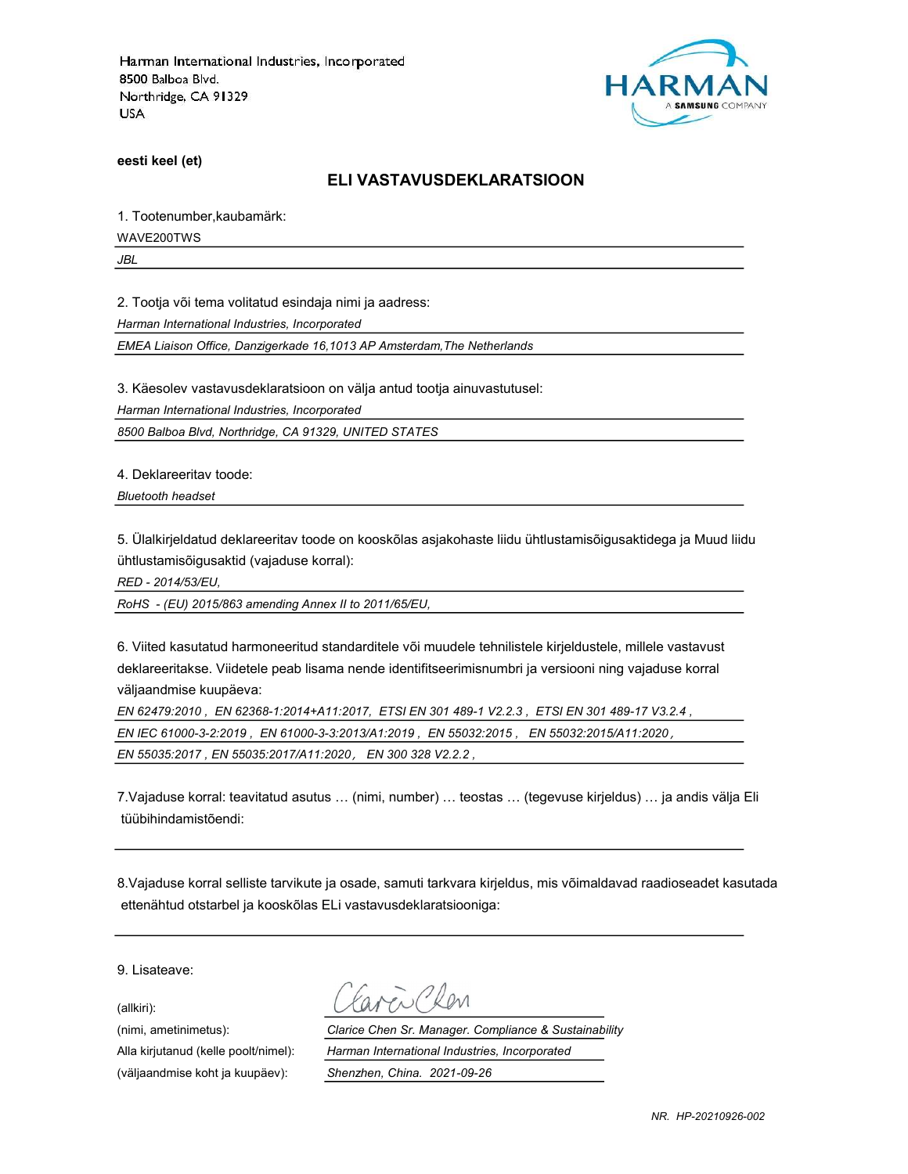

eesti keel (et)

#### ELI VASTAVUSDEKLARATSIOON

1. Tootenumber,kaubamärk:

WAVE200TWS

JBL

2. Tootja või tema volitatud esindaja nimi ja aadress:

Harman International Industries, Incorporated

EMEA Liaison Office, Danzigerkade 16,1013 AP Amsterdam,The Netherlands

3. Käesolev vastavusdeklaratsioon on välja antud tootja ainuvastutusel:

Harman International Industries, Incorporated

8500 Balboa Blvd, Northridge, CA 91329, UNITED STATES

4. Deklareeritav toode:

Bluetooth headset

5. Ülalkirjeldatud deklareeritav toode on kooskõlas asjakohaste liidu ühtlustamisõigusaktidega ja Muud liidu ühtlustamisõigusaktid (vajaduse korral):

RED - 2014/53/EU,

RoHS - (EU) 2015/863 amending Annex II to 2011/65/EU,

6. Viited kasutatud harmoneeritud standarditele või muudele tehnilistele kirjeldustele, millele vastavust deklareeritakse. Viidetele peab lisama nende identifitseerimisnumbri ja versiooni ning vajaduse korral väljaandmise kuupäeva:

EN 62479:2010 , EN 62368-1:2014+A11:2017, ETSI EN 301 489-1 V2.2.3 , ETSI EN 301 489-17 V3.2.4 , EN IEC 61000-3-2:2019 , EN 61000-3-3:2013/A1:2019 , EN 55032:2015 , EN 55032:2015/A11:2020, EN 55035:2017 , EN 55035:2017/A11:2020, EN 300 328 V2.2.2 ,

7.Vajaduse korral: teavitatud asutus … (nimi, number) … teostas … (tegevuse kirjeldus) … ja andis välja Eli tüübihindamistõendi:

8.Vajaduse korral selliste tarvikute ja osade, samuti tarkvara kirjeldus, mis võimaldavad raadioseadet kasutada ettenähtud otstarbel ja kooskõlas ELi vastavusdeklaratsiooniga:

9. Lisateave:

(allkiri):

(väljaandmise koht ja kuupäev): Shenzhen, China. 2021-09-26

(nimi, ametinimetus): Clarice Chen Sr. Manager. Compliance & Sustainability Alla kirjutanud (kelle poolt/nimel): Harman International Industries, Incorporated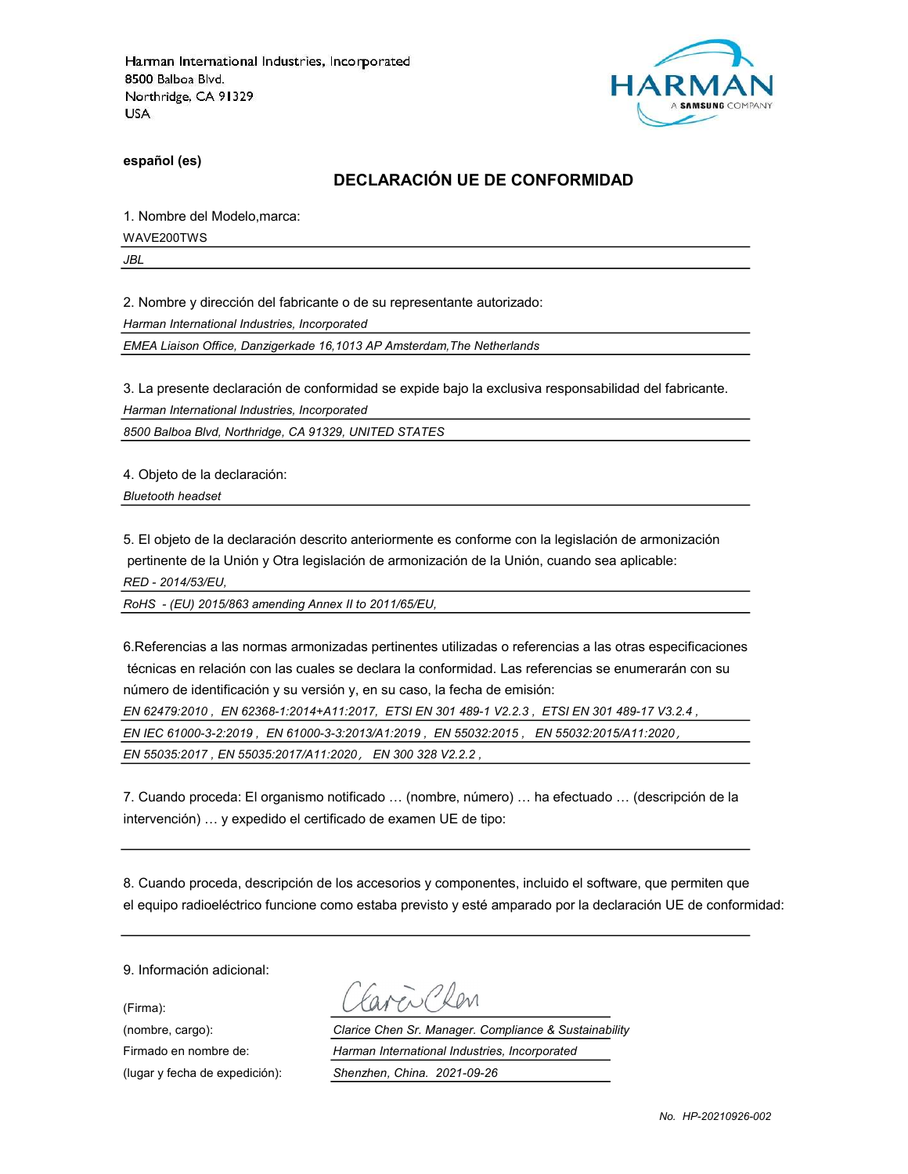

español (es)

# DECLARACIÓN UE DE CONFORMIDAD

1. Nombre del Modelo,marca:

WAVE200TWS

JBL

2. Nombre y dirección del fabricante o de su representante autorizado:

Harman International Industries, Incorporated

EMEA Liaison Office, Danzigerkade 16,1013 AP Amsterdam,The Netherlands

3. La presente declaración de conformidad se expide bajo la exclusiva responsabilidad del fabricante.

Harman International Industries, Incorporated

8500 Balboa Blvd, Northridge, CA 91329, UNITED STATES

4. Objeto de la declaración:

Bluetooth headset

5. El objeto de la declaración descrito anteriormente es conforme con la legislación de armonización pertinente de la Unión y Otra legislación de armonización de la Unión, cuando sea aplicable: RED - 2014/53/EU,

RoHS - (EU) 2015/863 amending Annex II to 2011/65/EU,

6.Referencias a las normas armonizadas pertinentes utilizadas o referencias a las otras especificaciones técnicas en relación con las cuales se declara la conformidad. Las referencias se enumerarán con su número de identificación y su versión y, en su caso, la fecha de emisión:

EN 62479:2010 , EN 62368-1:2014+A11:2017, ETSI EN 301 489-1 V2.2.3 , ETSI EN 301 489-17 V3.2.4 ,

EN IEC 61000-3-2:2019 , EN 61000-3-3:2013/A1:2019 , EN 55032:2015 , EN 55032:2015/A11:2020,

EN 55035:2017 , EN 55035:2017/A11:2020, EN 300 328 V2.2.2 ,

7. Cuando proceda: El organismo notificado … (nombre, número) … ha efectuado … (descripción de la intervención) … y expedido el certificado de examen UE de tipo:

8. Cuando proceda, descripción de los accesorios y componentes, incluido el software, que permiten que el equipo radioeléctrico funcione como estaba previsto y esté amparado por la declaración UE de conformidad:

9. Información adicional:

(Firma):

ave Clean

(nombre, cargo): Clarice Chen Sr. Manager. Compliance & Sustainability Firmado en nombre de: Harman International Industries, Incorporated (lugar y fecha de expedición): Shenzhen, China. 2021-09-26

No. HP-20210926-002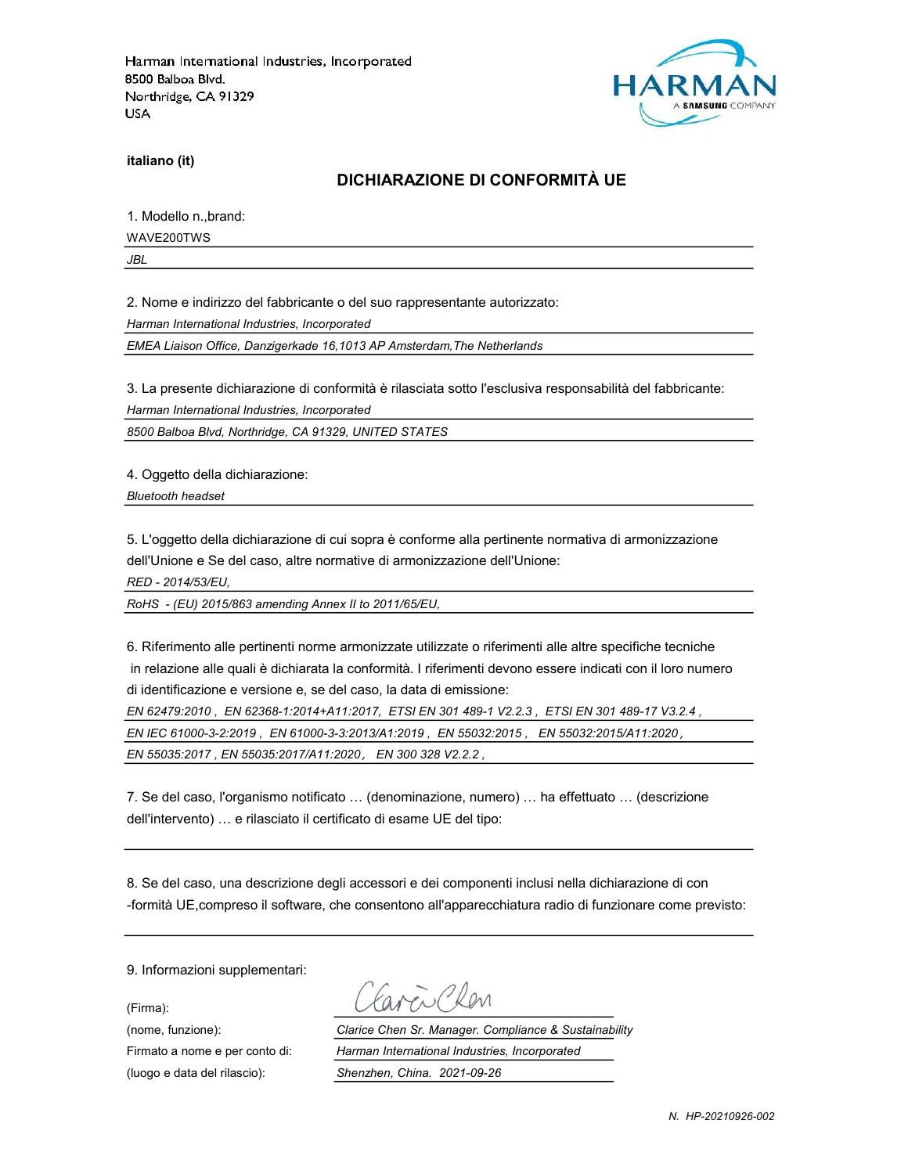

italiano (it)

#### DICHIARAZIONE DI CONFORMITÀ UE

1. Modello n.,brand:

WAVE200TWS

JBL

2. Nome e indirizzo del fabbricante o del suo rappresentante autorizzato:

Harman International Industries, Incorporated

EMEA Liaison Office, Danzigerkade 16,1013 AP Amsterdam,The Netherlands

3. La presente dichiarazione di conformità è rilasciata sotto l'esclusiva responsabilità del fabbricante:

Harman International Industries, Incorporated

8500 Balboa Blvd, Northridge, CA 91329, UNITED STATES

4. Oggetto della dichiarazione:

Bluetooth headset

5. L'oggetto della dichiarazione di cui sopra è conforme alla pertinente normativa di armonizzazione dell'Unione e Se del caso, altre normative di armonizzazione dell'Unione:

RED - 2014/53/EU,

RoHS - (EU) 2015/863 amending Annex II to 2011/65/EU,

6. Riferimento alle pertinenti norme armonizzate utilizzate o riferimenti alle altre specifiche tecniche in relazione alle quali è dichiarata la conformità. I riferimenti devono essere indicati con il loro numero di identificazione e versione e, se del caso, la data di emissione:

EN 62479:2010 , EN 62368-1:2014+A11:2017, ETSI EN 301 489-1 V2.2.3 , ETSI EN 301 489-17 V3.2.4 , EN IEC 61000-3-2:2019 , EN 61000-3-3:2013/A1:2019 , EN 55032:2015 , EN 55032:2015/A11:2020, EN 55035:2017 , EN 55035:2017/A11:2020, EN 300 328 V2.2.2 ,

7. Se del caso, l'organismo notificato … (denominazione, numero) … ha effettuato … (descrizione dell'intervento) … e rilasciato il certificato di esame UE del tipo:

8. Se del caso, una descrizione degli accessori e dei componenti inclusi nella dichiarazione di con -formità UE,compreso il software, che consentono all'apparecchiatura radio di funzionare come previsto:

9. Informazioni supplementari:

(Firma):

Favor Clear

(nome, funzione): Clarice Chen Sr. Manager. Compliance & Sustainability Firmato a nome e per conto di: Harman International Industries, Incorporated (luogo e data del rilascio): Shenzhen, China. 2021-09-26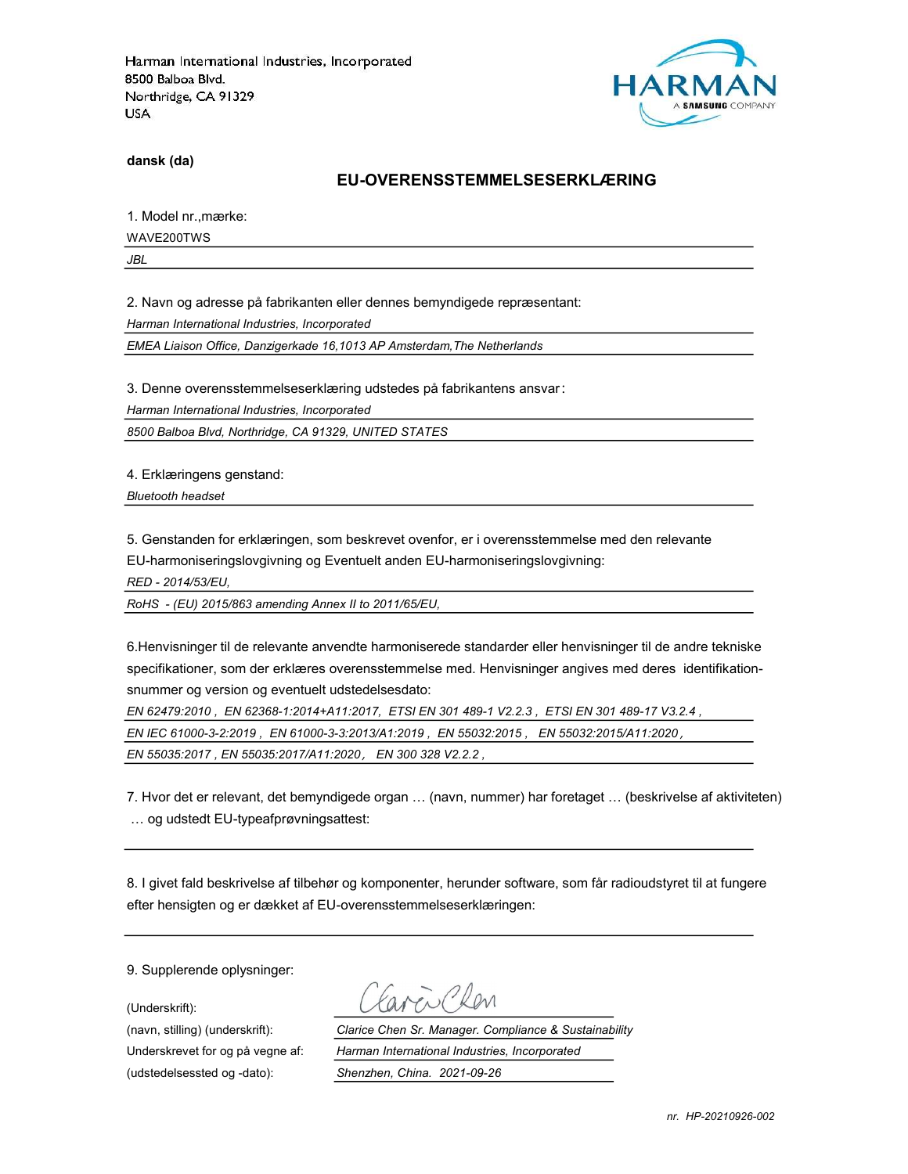

dansk (da)

#### EU-OVERENSSTEMMELSESERKLÆRING

1. Model nr.,mærke:

WAVE200TWS

JBL

2. Navn og adresse på fabrikanten eller dennes bemyndigede repræsentant:

Harman International Industries, Incorporated

EMEA Liaison Office, Danzigerkade 16,1013 AP Amsterdam,The Netherlands

3. Denne overensstemmelseserklæring udstedes på fabrikantens ansvar:

Harman International Industries, Incorporated

8500 Balboa Blvd, Northridge, CA 91329, UNITED STATES

4. Erklæringens genstand:

Bluetooth headset

5. Genstanden for erklæringen, som beskrevet ovenfor, er i overensstemmelse med den relevante EU-harmoniseringslovgivning og Eventuelt anden EU-harmoniseringslovgivning:

RED - 2014/53/EU,

RoHS - (EU) 2015/863 amending Annex II to 2011/65/EU,

6.Henvisninger til de relevante anvendte harmoniserede standarder eller henvisninger til de andre tekniske specifikationer, som der erklæres overensstemmelse med. Henvisninger angives med deres identifikationsnummer og version og eventuelt udstedelsesdato:

EN 62479:2010 , EN 62368-1:2014+A11:2017, ETSI EN 301 489-1 V2.2.3 , ETSI EN 301 489-17 V3.2.4 , EN IEC 61000-3-2:2019 , EN 61000-3-3:2013/A1:2019 , EN 55032:2015 , EN 55032:2015/A11:2020, EN 55035:2017 , EN 55035:2017/A11:2020, EN 300 328 V2.2.2 ,

7. Hvor det er relevant, det bemyndigede organ … (navn, nummer) har foretaget … (beskrivelse af aktiviteten) … og udstedt EU-typeafprøvningsattest:

8. I givet fald beskrivelse af tilbehør og komponenter, herunder software, som får radioudstyret til at fungere efter hensigten og er dækket af EU-overensstemmelseserklæringen:

9. Supplerende oplysninger:

(Underskrift):

(udstedelsessted og -dato): Shenzhen, China. 2021-09-26

(navn, stilling) (underskrift): Clarice Chen Sr. Manager. Compliance & Sustainability Underskrevet for og på vegne af: Harman International Industries, Incorporated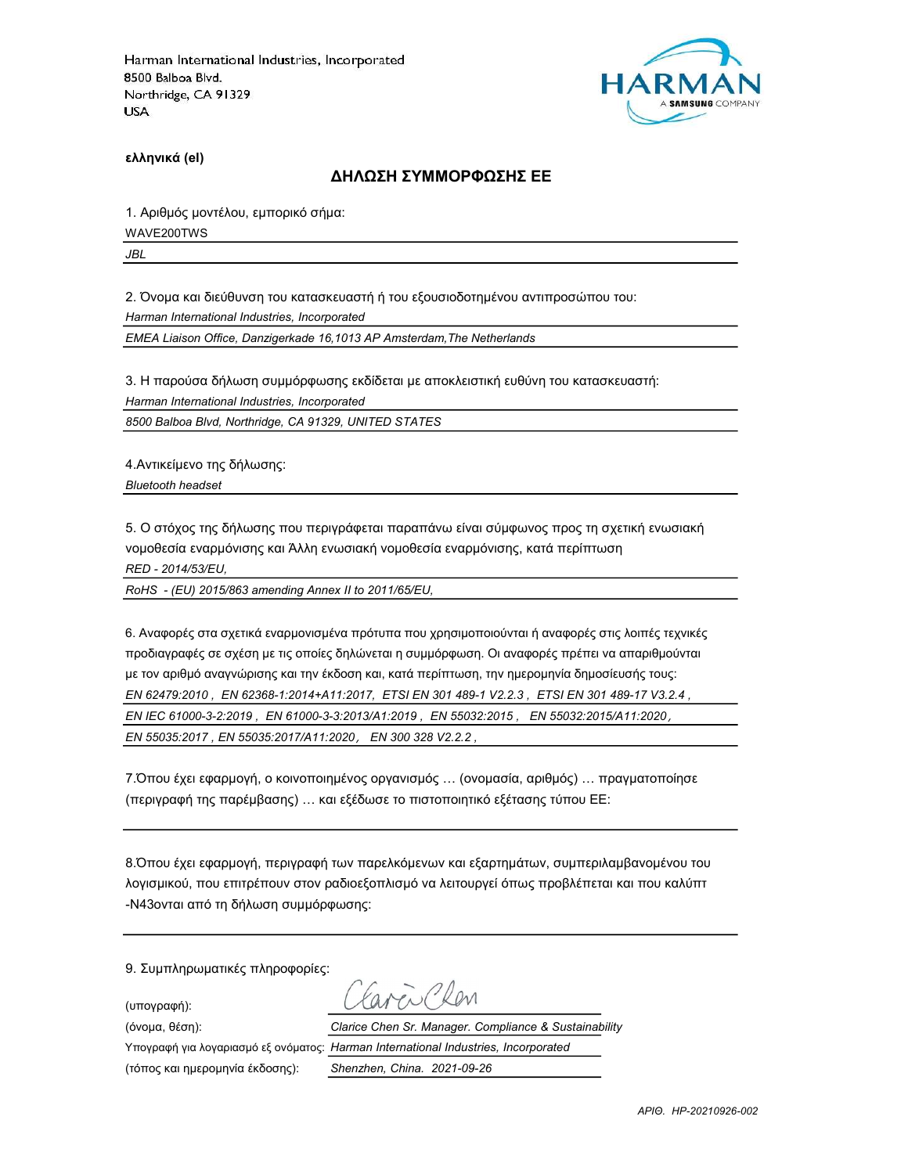

ελληνικά (el)

#### ΔΗΛΩΣΗ ΣΥΜΜΟΡΦΩΣΗΣ ΕΕ

1. Αριθμός μοντέλου, εμπορικό σήμα: WAVE200TWS

JBL

2. Όνομα και διεύθυνση του κατασκευαστή ή του εξουσιοδοτημένου αντιπροσώπου του:

Harman International Industries, Incorporated

EMEA Liaison Office, Danzigerkade 16,1013 AP Amsterdam,The Netherlands

3. Η παρούσα δήλωση συμμόρφωσης εκδίδεται με αποκλειστική ευθύνη του κατασκευαστή: Harman International Industries, Incorporated

8500 Balboa Blvd, Northridge, CA 91329, UNITED STATES

4.Αντικείμενο της δήλωσης: Bluetooth headset

5. Ο στόχος της δήλωσης που περιγράφεται παραπάνω είναι σύμφωνος προς τη σχετική ενωσιακή νομοθεσία εναρμόνισης και Άλλη ενωσιακή νομοθεσία εναρμόνισης, κατά περίπτωση RED - 2014/53/EU,

RoHS - (EU) 2015/863 amending Annex II to 2011/65/EU,

6. Αναφορές στα σχετικά εναρμονισμένα πρότυπα που χρησιμοποιούνται ή αναφορές στις λοιπές τεχνικές προδιαγραφές σε σχέση με τις οποίες δηλώνεται η συμμόρφωση. Οι αναφορές πρέπει να απαριθμούνται με τον αριθμό αναγνώρισης και την έκδοση και, κατά περίπτωση, την ημερομηνία δημοσίευσής τους: EN 62479:2010 , EN 62368-1:2014+A11:2017, ETSI EN 301 489-1 V2.2.3 , ETSI EN 301 489-17 V3.2.4 , EN IEC 61000-3-2:2019 , EN 61000-3-3:2013/A1:2019 , EN 55032:2015 , EN 55032:2015/A11:2020, EN 55035:2017 , EN 55035:2017/A11:2020, EN 300 328 V2.2.2 ,

7.Όπου έχει εφαρμογή, ο κοινοποιημένος οργανισμός … (ονομασία, αριθμός) … πραγματοποίησε (περιγραφή της παρέμβασης) … και εξέδωσε το πιστοποιητικό εξέτασης τύπου ΕΕ:

8.Όπου έχει εφαρμογή, περιγραφή των παρελκόμενων και εξαρτημάτων, συμπεριλαμβανομένου του λογισμικού, που επιτρέπουν στον ραδιοεξοπλισμό να λειτουργεί όπως προβλέπεται και που καλύπτ -N43ονται από τη δήλωση συμμόρφωσης:

9. Συμπληρωματικές πληροφορίες:

(υπογραφή):

avendelen

(όνομα, θέση): Clarice Chen Sr. Manager. Compliance & Sustainability

(τόπος και ημερομηνία έκδοσης): Shenzhen, China. 2021-09-26

Υπογραφή για λογαριασμό εξ ονόματος: Harman International Industries, Incorporated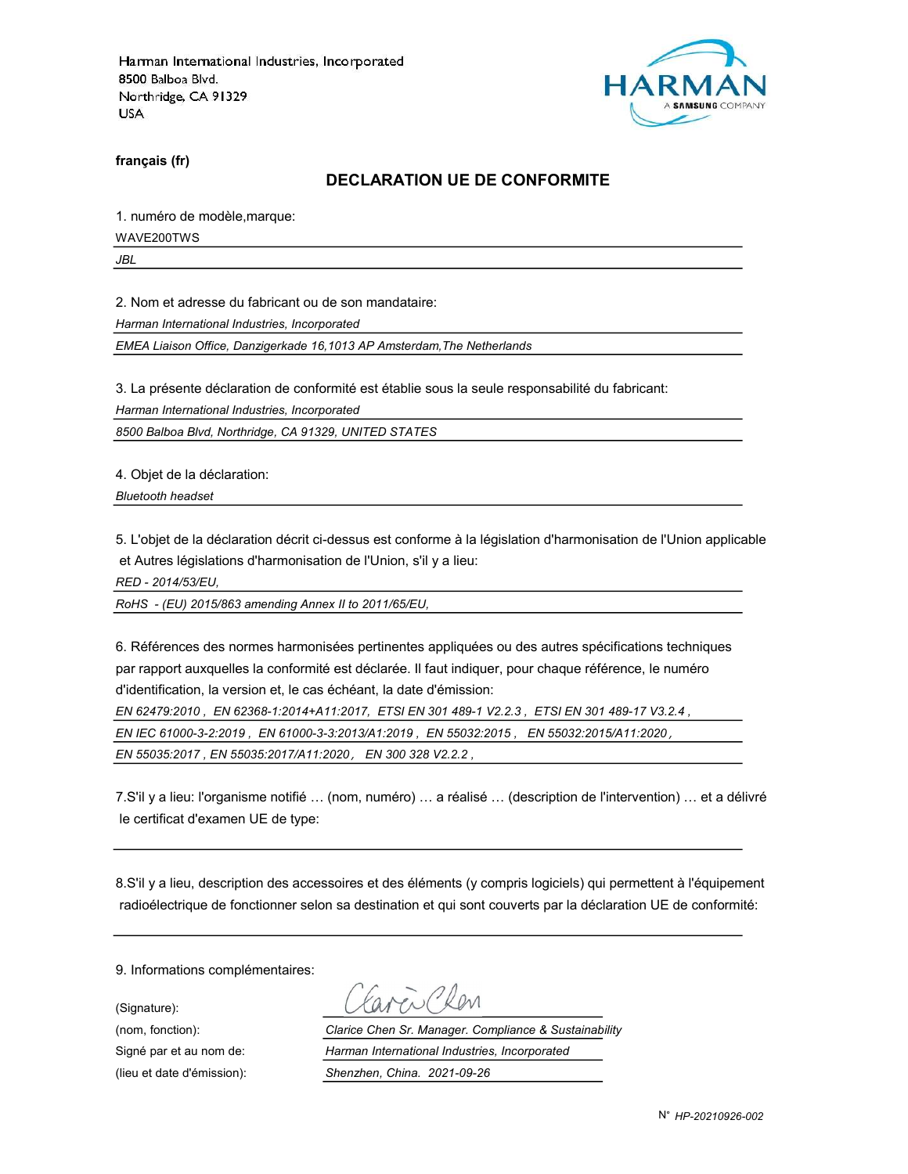

français (fr)

#### DECLARATION UE DE CONFORMITE

1. numéro de modèle,marque:

WAVE200TWS

JBL

2. Nom et adresse du fabricant ou de son mandataire:

Harman International Industries, Incorporated

EMEA Liaison Office, Danzigerkade 16,1013 AP Amsterdam,The Netherlands

3. La présente déclaration de conformité est établie sous la seule responsabilité du fabricant:

Harman International Industries, Incorporated

8500 Balboa Blvd, Northridge, CA 91329, UNITED STATES

4. Objet de la déclaration:

Bluetooth headset

5. L'objet de la déclaration décrit ci-dessus est conforme à la législation d'harmonisation de l'Union applicable et Autres législations d'harmonisation de l'Union, s'il y a lieu:

RED - 2014/53/EU,

RoHS - (EU) 2015/863 amending Annex II to 2011/65/EU,

6. Références des normes harmonisées pertinentes appliquées ou des autres spécifications techniques par rapport auxquelles la conformité est déclarée. Il faut indiquer, pour chaque référence, le numéro d'identification, la version et, le cas échéant, la date d'émission:

EN 62479:2010 , EN 62368-1:2014+A11:2017, ETSI EN 301 489-1 V2.2.3 , ETSI EN 301 489-17 V3.2.4 ,

EN IEC 61000-3-2:2019 , EN 61000-3-3:2013/A1:2019 , EN 55032:2015 , EN 55032:2015/A11:2020,

EN 55035:2017 , EN 55035:2017/A11:2020, EN 300 328 V2.2.2 ,

7.S'il y a lieu: l'organisme notifié … (nom, numéro) … a réalisé … (description de l'intervention) … et a délivré le certificat d'examen UE de type:

8.S'il y a lieu, description des accessoires et des éléments (y compris logiciels) qui permettent à l'équipement radioélectrique de fonctionner selon sa destination et qui sont couverts par la déclaration UE de conformité:

9. Informations complémentaires:

(Signature):

(nom, fonction): Clarice Chen Sr. Manager. Compliance & Sustainability Signé par et au nom de: Harman International Industries, Incorporated (lieu et date d'émission): Shenzhen, China. 2021-09-26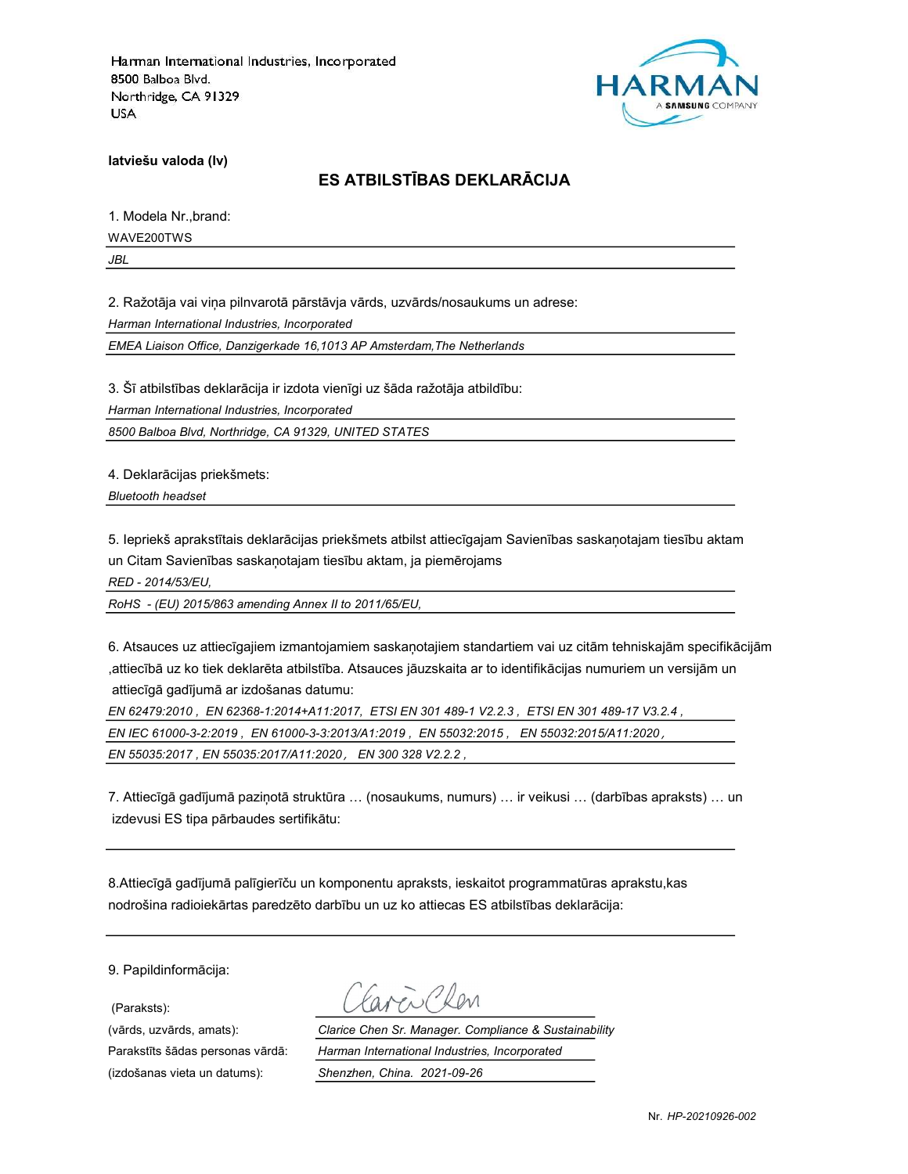

latviešu valoda (lv)

## ES ATBILSTĪBAS DEKLARĀCIJA

1. Modela Nr.,brand: WAVE200TWS JBL

2. Ražotāja vai viņa pilnvarotā pārstāvja vārds, uzvārds/nosaukums un adrese: Harman International Industries, Incorporated

EMEA Liaison Office, Danzigerkade 16,1013 AP Amsterdam,The Netherlands

3. Šī atbilstības deklarācija ir izdota vienīgi uz šāda ražotāja atbildību:

Harman International Industries, Incorporated

8500 Balboa Blvd, Northridge, CA 91329, UNITED STATES

4. Deklarācijas priekšmets:

Bluetooth headset

5. Iepriekš aprakstītais deklarācijas priekšmets atbilst attiecīgajam Savienības saskaņotajam tiesību aktam un Citam Savienības saskaņotajam tiesību aktam, ja piemērojams

RED - 2014/53/EU,

RoHS - (EU) 2015/863 amending Annex II to 2011/65/EU,

6. Atsauces uz attiecīgajiem izmantojamiem saskaņotajiem standartiem vai uz citām tehniskajām specifikācijām ,attiecībā uz ko tiek deklarēta atbilstība. Atsauces jāuzskaita ar to identifikācijas numuriem un versijām un attiecīgā gadījumā ar izdošanas datumu:

EN 62479:2010 , EN 62368-1:2014+A11:2017, ETSI EN 301 489-1 V2.2.3 , ETSI EN 301 489-17 V3.2.4 , EN IEC 61000-3-2:2019 , EN 61000-3-3:2013/A1:2019 , EN 55032:2015 , EN 55032:2015/A11:2020, EN 55035:2017 , EN 55035:2017/A11:2020, EN 300 328 V2.2.2 ,

7. Attiecīgā gadījumā paziņotā struktūra … (nosaukums, numurs) … ir veikusi … (darbības apraksts) … un izdevusi ES tipa pārbaudes sertifikātu:

8.Attiecīgā gadījumā palīgierīču un komponentu apraksts, ieskaitot programmatūras aprakstu,kas nodrošina radioiekārtas paredzēto darbību un uz ko attiecas ES atbilstības deklarācija:

9. Papildinformācija:

(Paraksts):

(izdošanas vieta un datums): Shenzhen, China. 2021-09-26

(vārds, uzvārds, amats): Clarice Chen Sr. Manager. Compliance & Sustainability Parakstīts šādas personas vārdā: Harman International Industries, Incorporated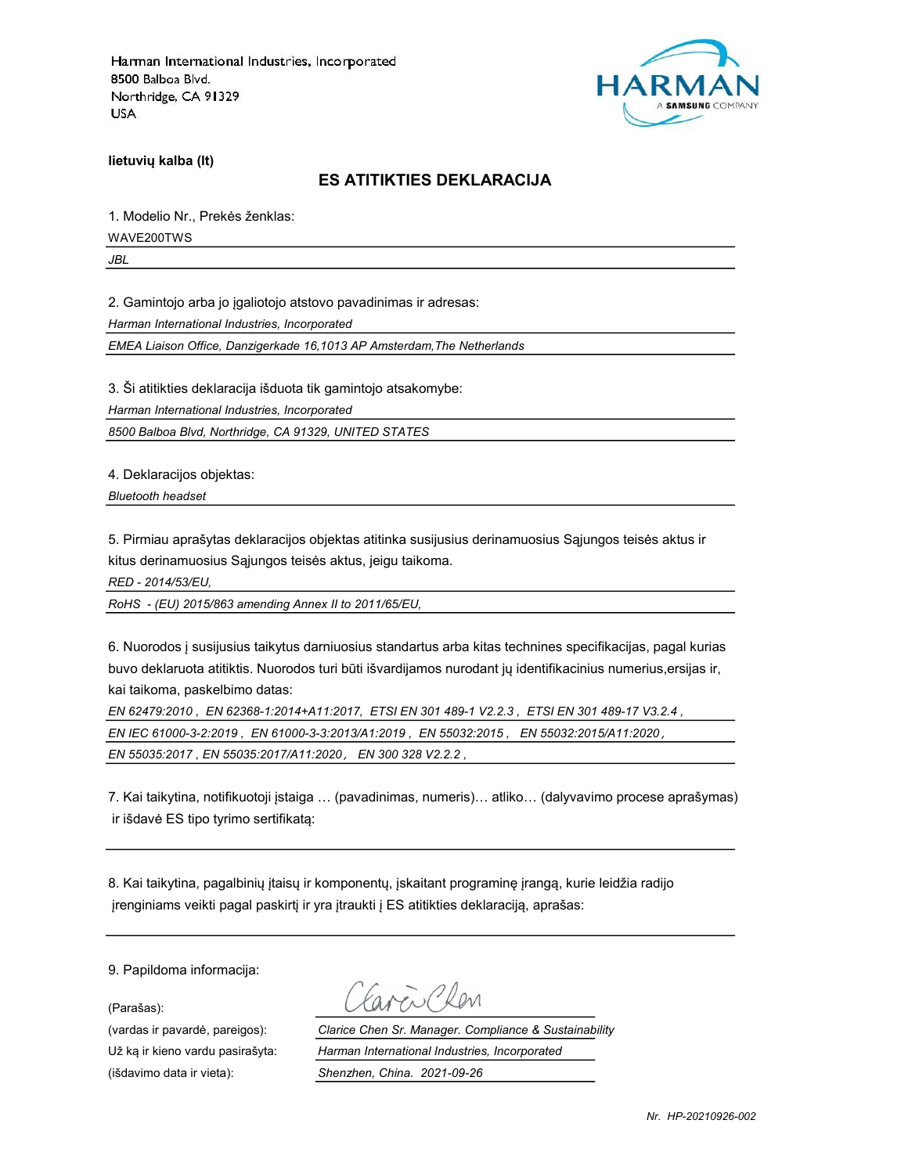

lietuvių kalba (lt)

### ES ATITIKTIES DEKLARACIJA

1. Modelio Nr., Prekės ženklas: WAVE200TWS

JBL

2. Gamintojo arba jo įgaliotojo atstovo pavadinimas ir adresas:

Harman International Industries, Incorporated

EMEA Liaison Office, Danzigerkade 16,1013 AP Amsterdam,The Netherlands

3. Ši atitikties deklaracija išduota tik gamintojo atsakomybe:

Harman International Industries, Incorporated

8500 Balboa Blvd, Northridge, CA 91329, UNITED STATES

4. Deklaracijos objektas:

Bluetooth headset

5. Pirmiau aprašytas deklaracijos objektas atitinka susijusius derinamuosius Sąjungos teisės aktus ir kitus derinamuosius Sąjungos teisės aktus, jeigu taikoma.

RED - 2014/53/EU,

RoHS - (EU) 2015/863 amending Annex II to 2011/65/EU,

6. Nuorodos į susijusius taikytus darniuosius standartus arba kitas technines specifikacijas, pagal kurias buvo deklaruota atitiktis. Nuorodos turi būti išvardijamos nurodant jų identifikacinius numerius,ersijas ir, kai taikoma, paskelbimo datas:

EN 62479:2010 , EN 62368-1:2014+A11:2017, ETSI EN 301 489-1 V2.2.3 , ETSI EN 301 489-17 V3.2.4 , EN IEC 61000-3-2:2019 , EN 61000-3-3:2013/A1:2019 , EN 55032:2015 , EN 55032:2015/A11:2020,

EN 55035:2017 , EN 55035:2017/A11:2020, EN 300 328 V2.2.2 ,

7. Kai taikytina, notifikuotoji įstaiga … (pavadinimas, numeris)… atliko… (dalyvavimo procese aprašymas) ir išdavė ES tipo tyrimo sertifikatą:

8. Kai taikytina, pagalbinių įtaisų ir komponentų, įskaitant programinę įrangą, kurie leidžia radijo įrenginiams veikti pagal paskirtį ir yra įtraukti į ES atitikties deklaraciją, aprašas:

9. Papildoma informacija:

(Parašas):

Favor Ren

(vardas ir pavardė, pareigos): Clarice Chen Sr. Manager. Compliance & Sustainability Už ką ir kieno vardu pasirašyta: Harman International Industries, Incorporated (išdavimo data ir vieta): Shenzhen, China. 2021-09-26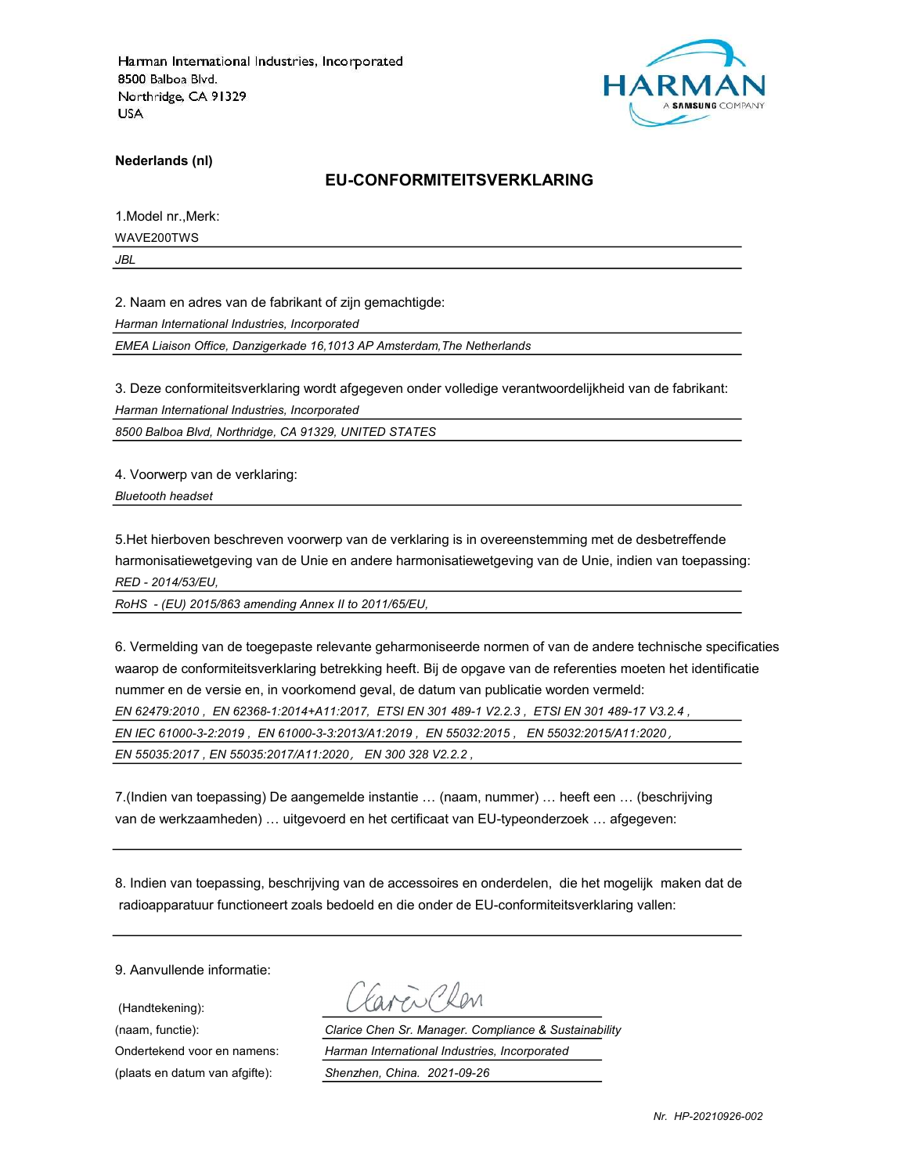

Nederlands (nl)

#### EU-CONFORMITEITSVERKLARING

1.Model nr.,Merk:

WAVE200TWS

JBL

2. Naam en adres van de fabrikant of zijn gemachtigde:

Harman International Industries, Incorporated

EMEA Liaison Office, Danzigerkade 16,1013 AP Amsterdam,The Netherlands

3. Deze conformiteitsverklaring wordt afgegeven onder volledige verantwoordelijkheid van de fabrikant:

Harman International Industries, Incorporated

8500 Balboa Blvd, Northridge, CA 91329, UNITED STATES

4. Voorwerp van de verklaring:

Bluetooth headset

5.Het hierboven beschreven voorwerp van de verklaring is in overeenstemming met de desbetreffende harmonisatiewetgeving van de Unie en andere harmonisatiewetgeving van de Unie, indien van toepassing: RED - 2014/53/EU,

RoHS - (EU) 2015/863 amending Annex II to 2011/65/EU,

6. Vermelding van de toegepaste relevante geharmoniseerde normen of van de andere technische specificaties waarop de conformiteitsverklaring betrekking heeft. Bij de opgave van de referenties moeten het identificatie nummer en de versie en, in voorkomend geval, de datum van publicatie worden vermeld: EN 62479:2010 , EN 62368-1:2014+A11:2017, ETSI EN 301 489-1 V2.2.3 , ETSI EN 301 489-17 V3.2.4 , EN IEC 61000-3-2:2019 , EN 61000-3-3:2013/A1:2019 , EN 55032:2015 , EN 55032:2015/A11:2020, EN 55035:2017 , EN 55035:2017/A11:2020, EN 300 328 V2.2.2 ,

7.(Indien van toepassing) De aangemelde instantie … (naam, nummer) … heeft een … (beschrijving van de werkzaamheden) … uitgevoerd en het certificaat van EU-typeonderzoek … afgegeven:

8. Indien van toepassing, beschrijving van de accessoires en onderdelen, die het mogelijk maken dat de radioapparatuur functioneert zoals bedoeld en die onder de EU-conformiteitsverklaring vallen:

9. Aanvullende informatie:

(Handtekening):

Favor Clen

(naam, functie): Clarice Chen Sr. Manager. Compliance & Sustainability Ondertekend voor en namens: Harman International Industries, Incorporated (plaats en datum van afgifte): Shenzhen, China. 2021-09-26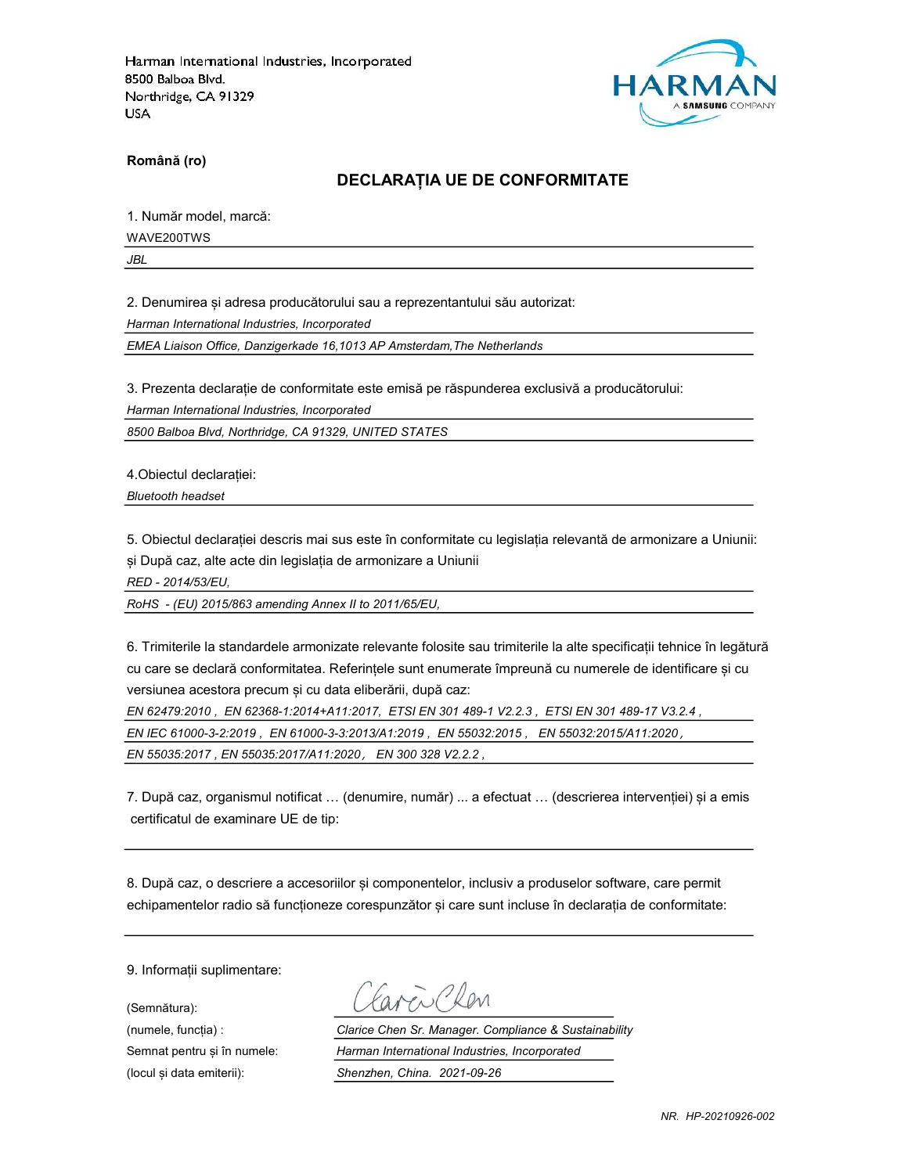

Română (ro)

#### DECLARAȚIA UE DE CONFORMITATE

1. Număr model, marcă:

WAVE200TWS

JBL

2. Denumirea și adresa producătorului sau a reprezentantului său autorizat:

Harman International Industries, Incorporated

EMEA Liaison Office, Danzigerkade 16,1013 AP Amsterdam,The Netherlands

3. Prezenta declarație de conformitate este emisă pe răspunderea exclusivă a producătorului:

Harman International Industries, Incorporated

8500 Balboa Blvd, Northridge, CA 91329, UNITED STATES

4.Obiectul declarației:

Bluetooth headset

5. Obiectul declarației descris mai sus este în conformitate cu legislația relevantă de armonizare a Uniunii: și După caz, alte acte din legislația de armonizare a Uniunii

RED - 2014/53/EU,

RoHS - (EU) 2015/863 amending Annex II to 2011/65/EU,

6. Trimiterile la standardele armonizate relevante folosite sau trimiterile la alte specificații tehnice în legătură cu care se declară conformitatea. Referințele sunt enumerate împreună cu numerele de identificare și cu versiunea acestora precum și cu data eliberării, după caz:

EN 62479:2010 , EN 62368-1:2014+A11:2017, ETSI EN 301 489-1 V2.2.3 , ETSI EN 301 489-17 V3.2.4 , EN IEC 61000-3-2:2019 , EN 61000-3-3:2013/A1:2019 , EN 55032:2015 , EN 55032:2015/A11:2020, EN 55035:2017 , EN 55035:2017/A11:2020, EN 300 328 V2.2.2 ,

7. După caz, organismul notificat … (denumire, număr) ... a efectuat … (descrierea intervenției) și a emis certificatul de examinare UE de tip:

8. După caz, o descriere a accesoriilor și componentelor, inclusiv a produselor software, care permit echipamentelor radio să funcționeze corespunzător și care sunt incluse în declarația de conformitate:

9. Informații suplimentare:

(Semnătura):

Favor Plan

(numele, funcția) : Clarice Chen Sr. Manager. Compliance & Sustainability Semnat pentru și în numele: Harman International Industries, Incorporated (locul și data emiterii): Shenzhen, China. 2021-09-26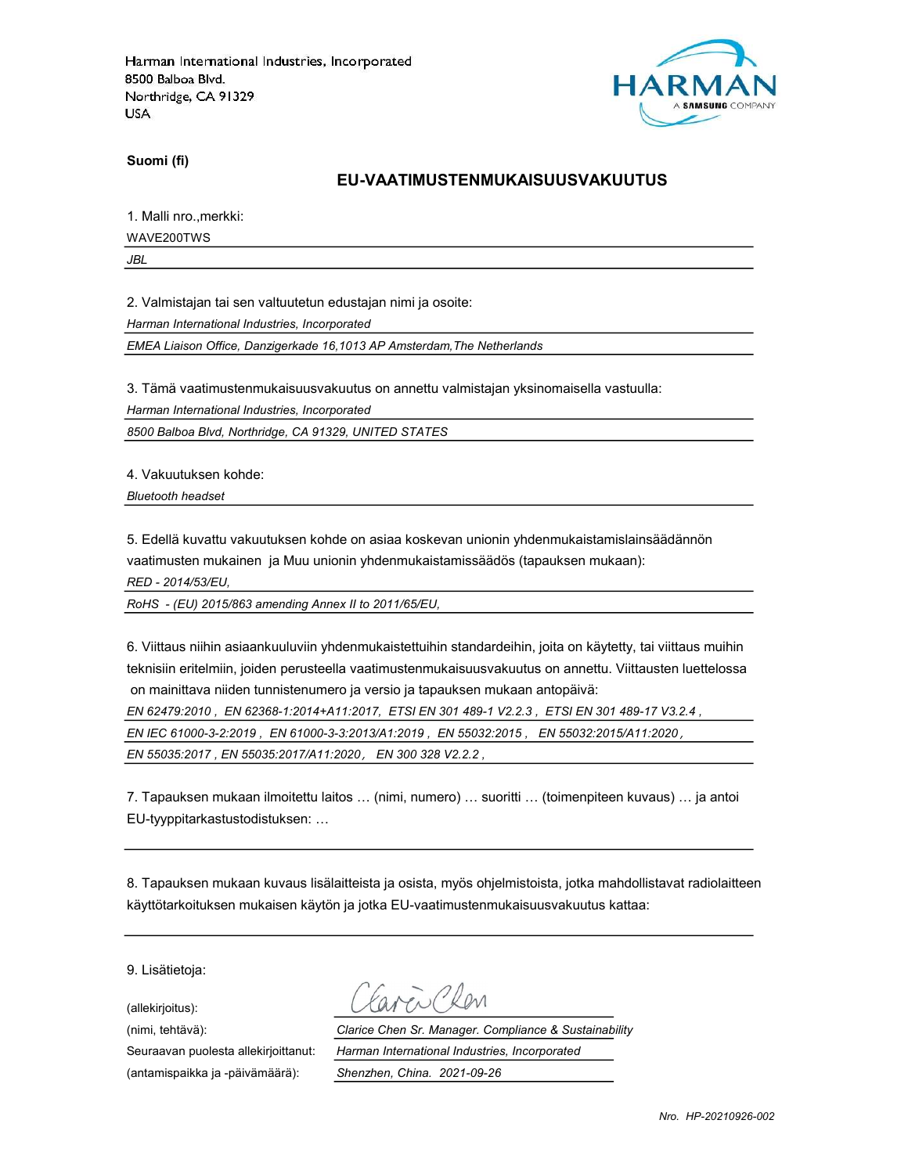

Suomi (fi)

#### EU-VAATIMUSTENMUKAISUUSVAKUUTUS

1. Malli nro.,merkki:

WAVE200TWS

JBL

2. Valmistajan tai sen valtuutetun edustajan nimi ja osoite:

Harman International Industries, Incorporated

EMEA Liaison Office, Danzigerkade 16,1013 AP Amsterdam,The Netherlands

3. Tämä vaatimustenmukaisuusvakuutus on annettu valmistajan yksinomaisella vastuulla:

Harman International Industries, Incorporated

8500 Balboa Blvd, Northridge, CA 91329, UNITED STATES

4. Vakuutuksen kohde:

Bluetooth headset

5. Edellä kuvattu vakuutuksen kohde on asiaa koskevan unionin yhdenmukaistamislainsäädännön vaatimusten mukainen ja Muu unionin yhdenmukaistamissäädös (tapauksen mukaan):

RED - 2014/53/EU,

RoHS - (EU) 2015/863 amending Annex II to 2011/65/EU,

6. Viittaus niihin asiaankuuluviin yhdenmukaistettuihin standardeihin, joita on käytetty, tai viittaus muihin teknisiin eritelmiin, joiden perusteella vaatimustenmukaisuusvakuutus on annettu. Viittausten luettelossa on mainittava niiden tunnistenumero ja versio ja tapauksen mukaan antopäivä:

EN 62479:2010 , EN 62368-1:2014+A11:2017, ETSI EN 301 489-1 V2.2.3 , ETSI EN 301 489-17 V3.2.4 ,

EN IEC 61000-3-2:2019 , EN 61000-3-3:2013/A1:2019 , EN 55032:2015 , EN 55032:2015/A11:2020,

EN 55035:2017 , EN 55035:2017/A11:2020, EN 300 328 V2.2.2 ,

7. Tapauksen mukaan ilmoitettu laitos … (nimi, numero) … suoritti … (toimenpiteen kuvaus) … ja antoi EU-tyyppitarkastustodistuksen: …

8. Tapauksen mukaan kuvaus lisälaitteista ja osista, myös ohjelmistoista, jotka mahdollistavat radiolaitteen käyttötarkoituksen mukaisen käytön ja jotka EU-vaatimustenmukaisuusvakuutus kattaa:

9. Lisätietoja:

(allekirjoitus):

(antamispaikka ja -päivämäärä): Shenzhen, China. 2021-09-26

 $2\sqrt{2}$ 

(nimi, tehtävä): Clarice Chen Sr. Manager. Compliance & Sustainability Seuraavan puolesta allekirjoittanut: Harman International Industries, Incorporated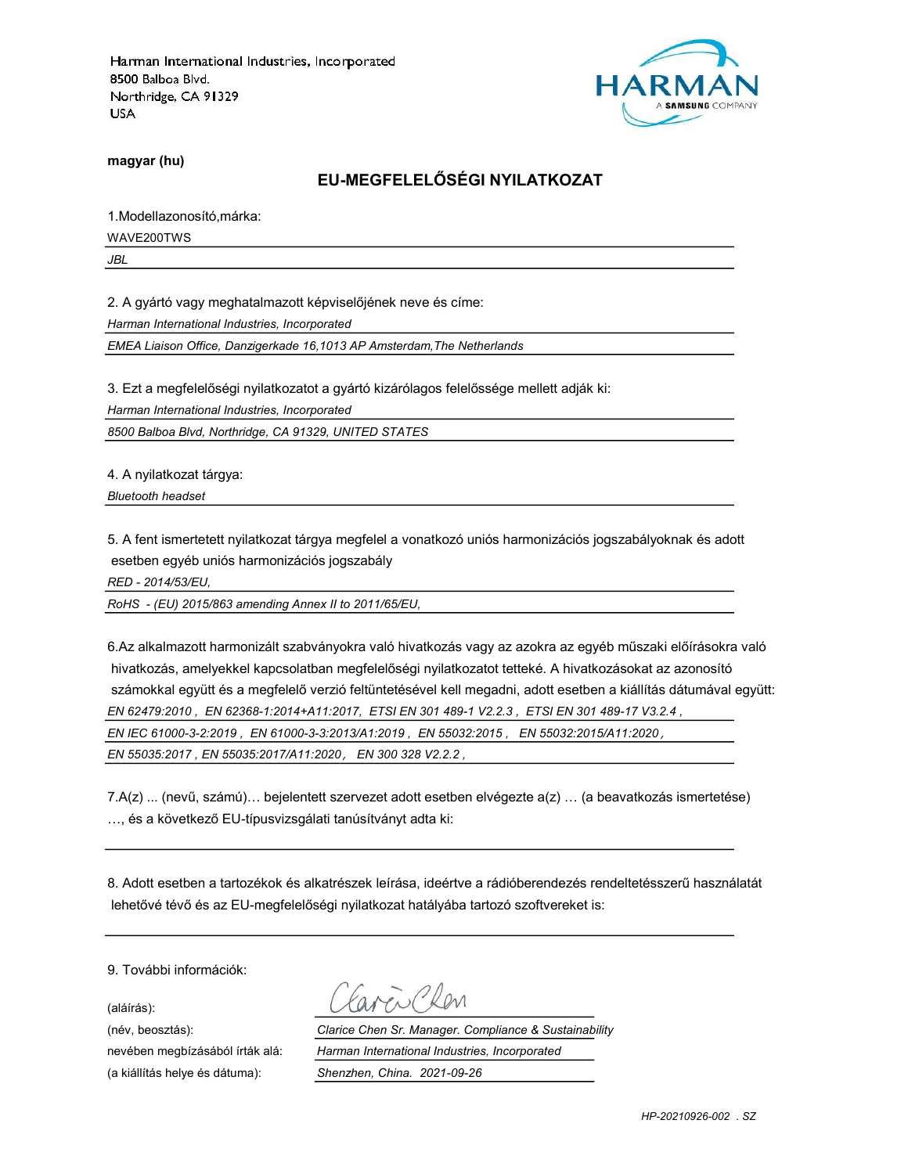

magyar (hu)

### EU-MEGFELELŐSÉGI NYILATKOZAT

1.Modellazonosító,márka:

WAVE200TWS

JBL

2. A gyártó vagy meghatalmazott képviselőjének neve és címe:

Harman International Industries, Incorporated

EMEA Liaison Office, Danzigerkade 16,1013 AP Amsterdam,The Netherlands

3. Ezt a megfelelőségi nyilatkozatot a gyártó kizárólagos felelőssége mellett adják ki:

Harman International Industries, Incorporated

8500 Balboa Blvd, Northridge, CA 91329, UNITED STATES

4. A nyilatkozat tárgya:

Bluetooth headset

5. A fent ismertetett nyilatkozat tárgya megfelel a vonatkozó uniós harmonizációs jogszabályoknak és adott esetben egyéb uniós harmonizációs jogszabály

RED - 2014/53/EU,

RoHS - (EU) 2015/863 amending Annex II to 2011/65/EU,

6.Az alkalmazott harmonizált szabványokra való hivatkozás vagy az azokra az egyéb műszaki előírásokra való hivatkozás, amelyekkel kapcsolatban megfelelőségi nyilatkozatot tetteké. A hivatkozásokat az azonosító számokkal együtt és a megfelelő verzió feltüntetésével kell megadni, adott esetben a kiállítás dátumával együtt: EN 62479:2010 , EN 62368-1:2014+A11:2017, ETSI EN 301 489-1 V2.2.3 , ETSI EN 301 489-17 V3.2.4 , EN IEC 61000-3-2:2019 , EN 61000-3-3:2013/A1:2019 , EN 55032:2015 , EN 55032:2015/A11:2020, EN 55035:2017 , EN 55035:2017/A11:2020, EN 300 328 V2.2.2 ,

7.A(z) ... (nevű, számú)… bejelentett szervezet adott esetben elvégezte a(z) … (a beavatkozás ismertetése) …, és a következő EU-típusvizsgálati tanúsítványt adta ki:

8. Adott esetben a tartozékok és alkatrészek leírása, ideértve a rádióberendezés rendeltetésszerű használatát lehetővé tévő és az EU-megfelelőségi nyilatkozat hatályába tartozó szoftvereket is:

9. További információk:

(aláírás):

(a kiállítás helye és dátuma): Shenzhen, China. 2021-09-26

(név, beosztás): Clarice Chen Sr. Manager. Compliance & Sustainability nevében megbízásából írták alá: Harman International Industries, Incorporated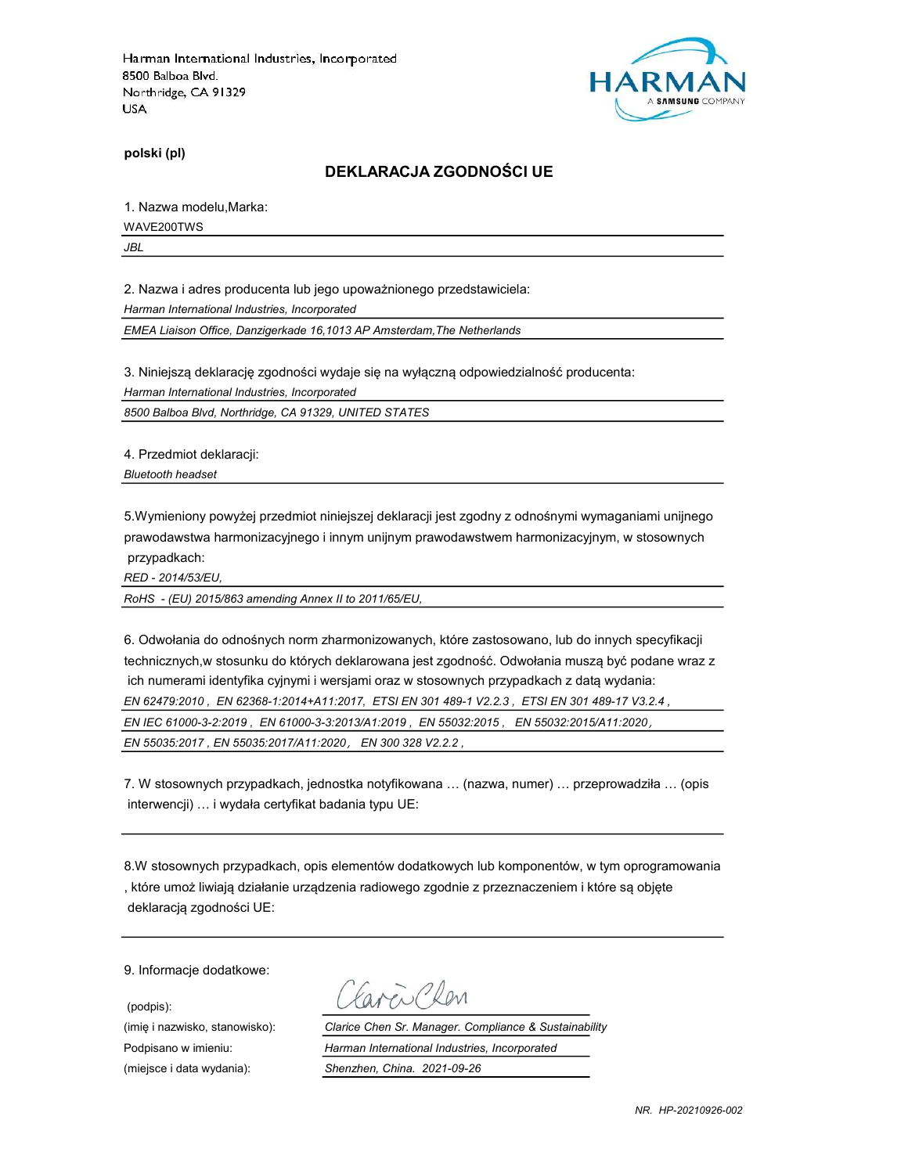

polski (pl)

#### DEKLARACJA ZGODNOŚCI UE

1. Nazwa modelu,Marka:

WAVE200TWS

JBL

2. Nazwa i adres producenta lub jego upoważnionego przedstawiciela:

Harman International Industries, Incorporated

EMEA Liaison Office, Danzigerkade 16,1013 AP Amsterdam,The Netherlands

3. Niniejszą deklarację zgodności wydaje się na wyłączną odpowiedzialność producenta:

Harman International Industries, Incorporated

8500 Balboa Blvd, Northridge, CA 91329, UNITED STATES

4. Przedmiot deklaracji:

Bluetooth headset

5.Wymieniony powyżej przedmiot niniejszej deklaracji jest zgodny z odnośnymi wymaganiami unijnego prawodawstwa harmonizacyjnego i innym unijnym prawodawstwem harmonizacyjnym, w stosownych przypadkach:

RED - 2014/53/EU,

RoHS - (EU) 2015/863 amending Annex II to 2011/65/EU,

6. Odwołania do odnośnych norm zharmonizowanych, które zastosowano, lub do innych specyfikacji technicznych,w stosunku do których deklarowana jest zgodność. Odwołania muszą być podane wraz z ich numerami identyfika cyjnymi i wersjami oraz w stosownych przypadkach z datą wydania: EN 62479:2010 , EN 62368-1:2014+A11:2017, ETSI EN 301 489-1 V2.2.3 , ETSI EN 301 489-17 V3.2.4 , EN IEC 61000-3-2:2019 , EN 61000-3-3:2013/A1:2019 , EN 55032:2015 , EN 55032:2015/A11:2020, EN 55035:2017 , EN 55035:2017/A11:2020, EN 300 328 V2.2.2 ,

7. W stosownych przypadkach, jednostka notyfikowana … (nazwa, numer) … przeprowadziła … (opis interwencji) … i wydała certyfikat badania typu UE:

8.W stosownych przypadkach, opis elementów dodatkowych lub komponentów, w tym oprogramowania , które umoż liwiają działanie urządzenia radiowego zgodnie z przeznaczeniem i które są objęte deklaracją zgodności UE:

9. Informacje dodatkowe:

(podpis):

Caren Chen

(imię i nazwisko, stanowisko): Clarice Chen Sr. Manager. Compliance & Sustainability Podpisano w imieniu: Harman International Industries, Incorporated (miejsce i data wydania): Shenzhen, China. 2021-09-26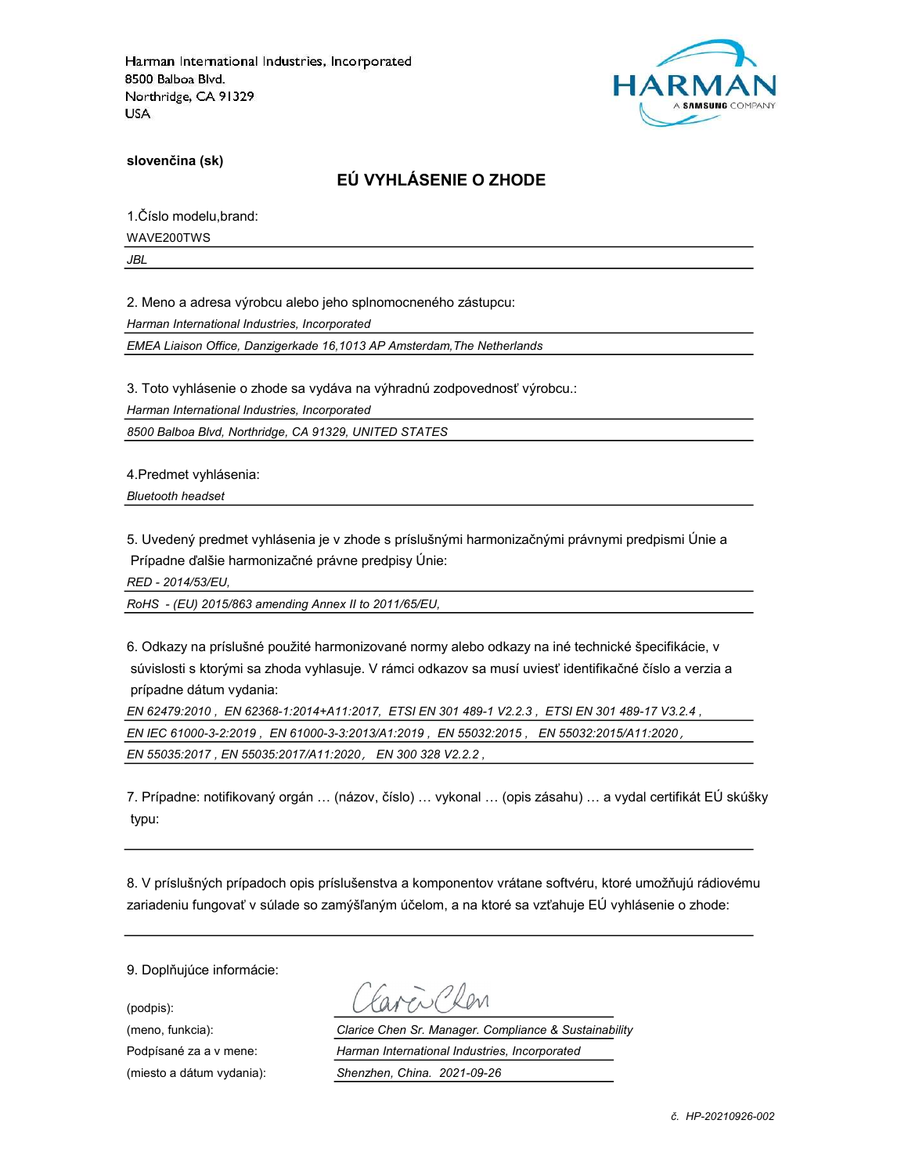

slovenčina (sk)

## EÚ VYHLÁSENIE O ZHODE

1.Číslo modelu,brand:

WAVE200TWS

JBL

2. Meno a adresa výrobcu alebo jeho splnomocneného zástupcu:

Harman International Industries, Incorporated

EMEA Liaison Office, Danzigerkade 16,1013 AP Amsterdam,The Netherlands

3. Toto vyhlásenie o zhode sa vydáva na výhradnú zodpovednosť výrobcu.:

Harman International Industries, Incorporated

8500 Balboa Blvd, Northridge, CA 91329, UNITED STATES

4.Predmet vyhlásenia:

Bluetooth headset

5. Uvedený predmet vyhlásenia je v zhode s príslušnými harmonizačnými právnymi predpismi Únie a Prípadne ďalšie harmonizačné právne predpisy Únie:

RED - 2014/53/EU,

RoHS - (EU) 2015/863 amending Annex II to 2011/65/EU,

6. Odkazy na príslušné použité harmonizované normy alebo odkazy na iné technické špecifikácie, v súvislosti s ktorými sa zhoda vyhlasuje. V rámci odkazov sa musí uviesť identifikačné číslo a verzia a prípadne dátum vydania:

EN 62479:2010 , EN 62368-1:2014+A11:2017, ETSI EN 301 489-1 V2.2.3 , ETSI EN 301 489-17 V3.2.4 , EN IEC 61000-3-2:2019 , EN 61000-3-3:2013/A1:2019 , EN 55032:2015 , EN 55032:2015/A11:2020, EN 55035:2017 , EN 55035:2017/A11:2020, EN 300 328 V2.2.2 ,

7. Prípadne: notifikovaný orgán … (názov, číslo) … vykonal … (opis zásahu) … a vydal certifikát EÚ skúšky typu:

8. V príslušných prípadoch opis príslušenstva a komponentov vrátane softvéru, ktoré umožňujú rádiovému zariadeniu fungovať v súlade so zamýšľaným účelom, a na ktoré sa vzťahuje EÚ vyhlásenie o zhode:

9. Doplňujúce informácie:

(podpis):

(meno, funkcia): Clarice Chen Sr. Manager. Compliance & Sustainability Podpísané za a v mene: Harman International Industries, Incorporated (miesto a dátum vydania): Shenzhen, China. 2021-09-26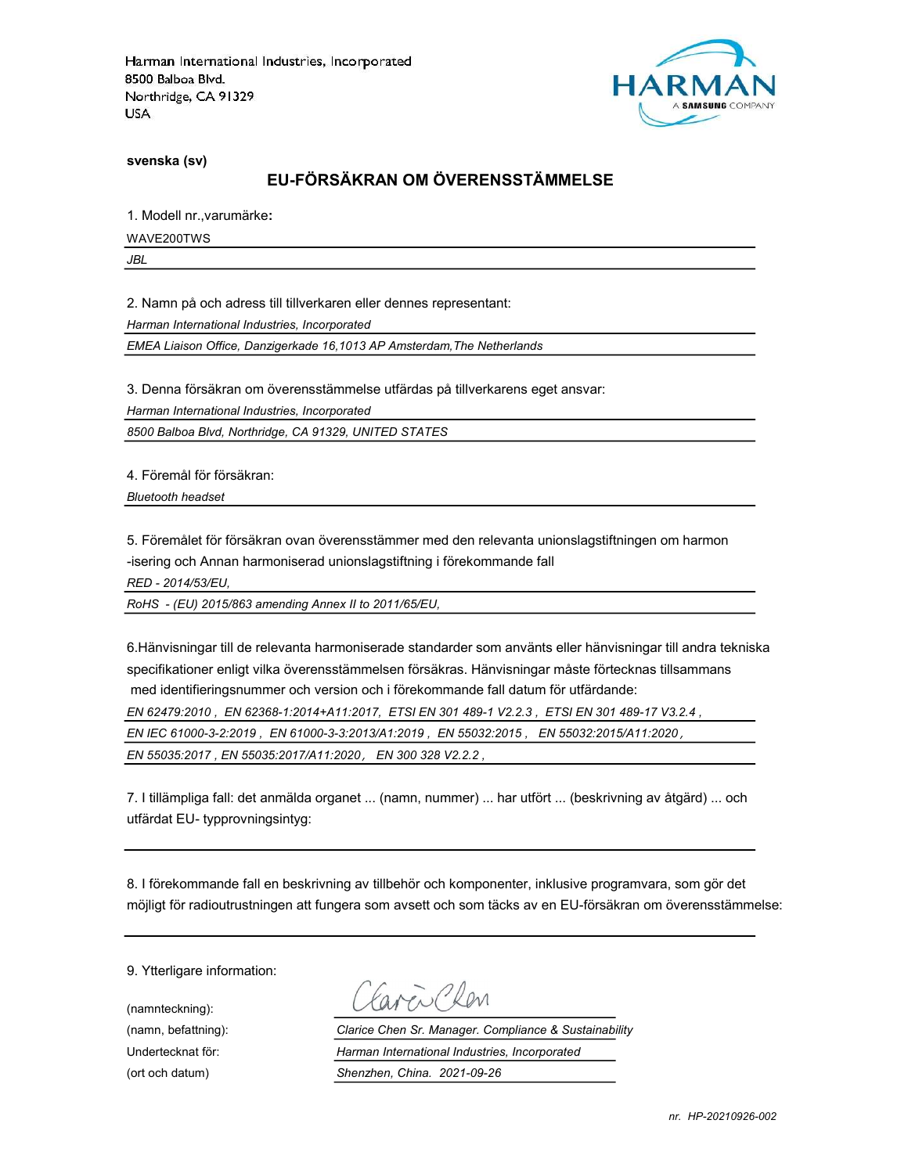

svenska (sv)

#### EU-FÖRSÄKRAN OM ÖVERENSSTÄMMELSE

1. Modell nr.,varumärke:

WAVE200TWS

JBL

2. Namn på och adress till tillverkaren eller dennes representant:

Harman International Industries, Incorporated

EMEA Liaison Office, Danzigerkade 16,1013 AP Amsterdam,The Netherlands

3. Denna försäkran om överensstämmelse utfärdas på tillverkarens eget ansvar:

Harman International Industries, Incorporated

8500 Balboa Blvd, Northridge, CA 91329, UNITED STATES

4. Föremål för försäkran:

Bluetooth headset

5. Föremålet för försäkran ovan överensstämmer med den relevanta unionslagstiftningen om harmon -isering och Annan harmoniserad unionslagstiftning i förekommande fall

RED - 2014/53/EU,

RoHS - (EU) 2015/863 amending Annex II to 2011/65/EU,

6.Hänvisningar till de relevanta harmoniserade standarder som använts eller hänvisningar till andra tekniska specifikationer enligt vilka överensstämmelsen försäkras. Hänvisningar måste förtecknas tillsammans med identifieringsnummer och version och i förekommande fall datum för utfärdande: EN 62479:2010 , EN 62368-1:2014+A11:2017, ETSI EN 301 489-1 V2.2.3 , ETSI EN 301 489-17 V3.2.4 , EN IEC 61000-3-2:2019 , EN 61000-3-3:2013/A1:2019 , EN 55032:2015 , EN 55032:2015/A11:2020, EN 55035:2017 , EN 55035:2017/A11:2020, EN 300 328 V2.2.2 ,

7. I tillämpliga fall: det anmälda organet ... (namn, nummer) ... har utfört ... (beskrivning av åtgärd) ... och utfärdat EU- typprovningsintyg:

8. I förekommande fall en beskrivning av tillbehör och komponenter, inklusive programvara, som gör det möjligt för radioutrustningen att fungera som avsett och som täcks av en EU-försäkran om överensstämmelse:

9. Ytterligare information:

(namnteckning):

Faven Clev

(namn, befattning): Clarice Chen Sr. Manager. Compliance & Sustainability Undertecknat för: Harman International Industries, Incorporated (ort och datum) Shenzhen, China. 2021-09-26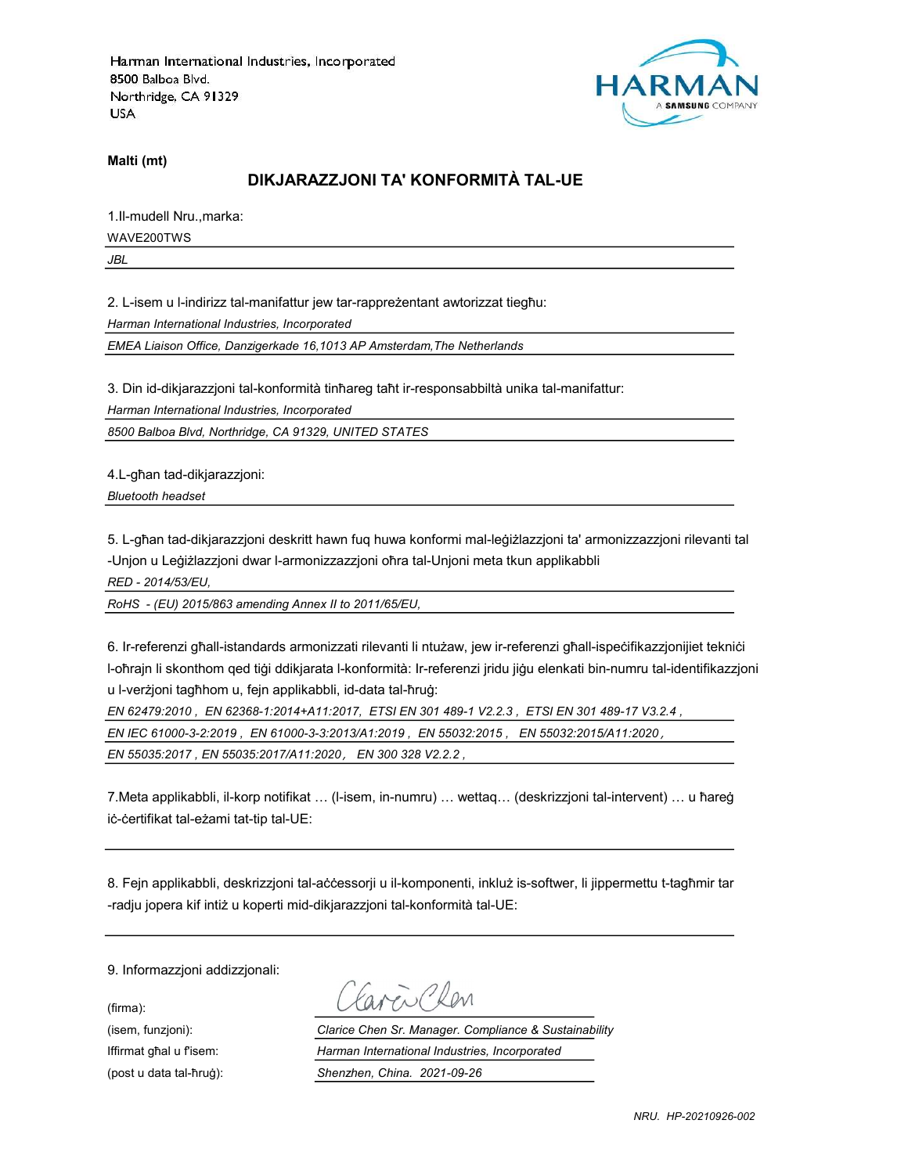

Malti (mt)

# DIKJARAZZJONI TA' KONFORMITÀ TAL-UE

1.Il-mudell Nru.,marka: WAVE200TWS

JBL

2. L-isem u l-indirizz tal-manifattur jew tar-rappreżentant awtorizzat tiegħu: Harman International Industries, Incorporated

EMEA Liaison Office, Danzigerkade 16,1013 AP Amsterdam,The Netherlands

3. Din id-dikjarazzjoni tal-konformità tinħareg taħt ir-responsabbiltà unika tal-manifattur:

Harman International Industries, Incorporated

8500 Balboa Blvd, Northridge, CA 91329, UNITED STATES

4.L-għan tad-dikjarazzjoni:

Bluetooth headset

5. L-għan tad-dikjarazzjoni deskritt hawn fuq huwa konformi mal-leġiżlazzjoni ta' armonizzazzjoni rilevanti tal -Unjon u Leġiżlazzjoni dwar l-armonizzazzjoni oħra tal-Unjoni meta tkun applikabbli

RED - 2014/53/EU,

RoHS - (EU) 2015/863 amending Annex II to 2011/65/EU,

6. Ir-referenzi għall-istandards armonizzati rilevanti li ntużaw, jew ir-referenzi għall-ispeċifikazzjonijiet tekniċi l-oħrajn li skonthom qed tiġi ddikjarata l-konformità: Ir-referenzi jridu jiġu elenkati bin-numru tal-identifikazzjoni u l-verżjoni tagħhom u, fejn applikabbli, id-data tal-ħruġ:

EN 62479:2010 , EN 62368-1:2014+A11:2017, ETSI EN 301 489-1 V2.2.3 , ETSI EN 301 489-17 V3.2.4 ,

EN IEC 61000-3-2:2019 , EN 61000-3-3:2013/A1:2019 , EN 55032:2015 , EN 55032:2015/A11:2020,

EN 55035:2017 , EN 55035:2017/A11:2020, EN 300 328 V2.2.2 ,

7.Meta applikabbli, il-korp notifikat … (l-isem, in-numru) … wettaq… (deskrizzjoni tal-intervent) … u ħareġ iċ-ċertifikat tal-eżami tat-tip tal-UE:

8. Fejn applikabbli, deskrizzjoni tal-aċċessorji u il-komponenti, inkluż is-softwer, li jippermettu t-tagħmir tar -radju jopera kif intiż u koperti mid-dikjarazzjoni tal-konformità tal-UE:

9. Informazzjoni addizzjonali:

(firma):

Favor Chen

(isem, funzjoni): Clarice Chen Sr. Manager. Compliance & Sustainability Iffirmat għal u f'isem: Harman International Industries, Incorporated (post u data tal-ħruġ): Shenzhen, China. 2021-09-26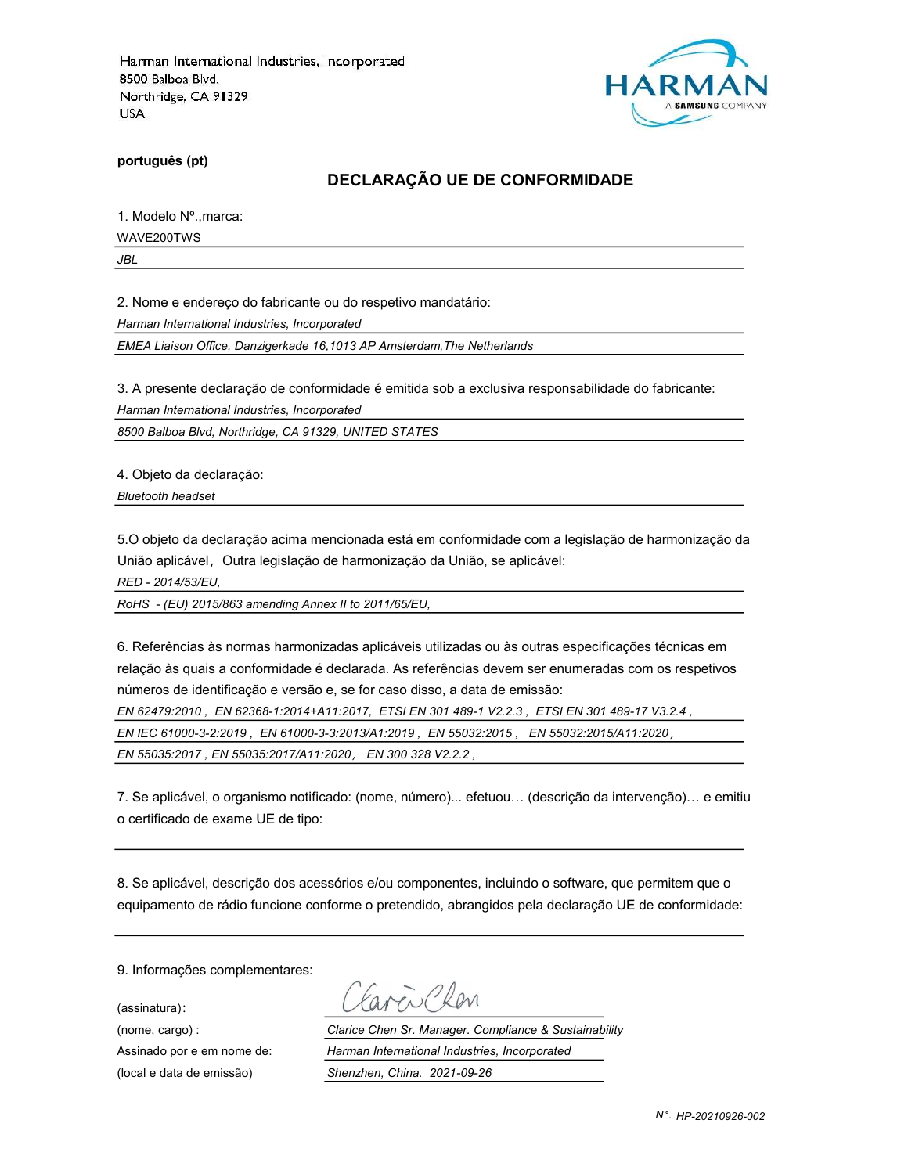

português (pt)

#### DECLARAÇÃO UE DE CONFORMIDADE

1. Modelo Nº.,marca:

WAVE200TWS

JBL

2. Nome e endereço do fabricante ou do respetivo mandatário:

Harman International Industries, Incorporated

EMEA Liaison Office, Danzigerkade 16,1013 AP Amsterdam,The Netherlands

3. A presente declaração de conformidade é emitida sob a exclusiva responsabilidade do fabricante:

Harman International Industries, Incorporated

8500 Balboa Blvd, Northridge, CA 91329, UNITED STATES

4. Objeto da declaração:

Bluetooth headset

5.O objeto da declaração acima mencionada está em conformidade com a legislação de harmonização da União aplicável, Outra legislação de harmonização da União, se aplicável:

RED - 2014/53/EU,

RoHS - (EU) 2015/863 amending Annex II to 2011/65/EU,

6. Referências às normas harmonizadas aplicáveis utilizadas ou às outras especificações técnicas em relação às quais a conformidade é declarada. As referências devem ser enumeradas com os respetivos números de identificação e versão e, se for caso disso, a data de emissão:

EN 62479:2010 , EN 62368-1:2014+A11:2017, ETSI EN 301 489-1 V2.2.3 , ETSI EN 301 489-17 V3.2.4 ,

EN IEC 61000-3-2:2019 , EN 61000-3-3:2013/A1:2019 , EN 55032:2015 , EN 55032:2015/A11:2020,

EN 55035:2017 , EN 55035:2017/A11:2020, EN 300 328 V2.2.2 ,

7. Se aplicável, o organismo notificado: (nome, número)... efetuou… (descrição da intervenção)… e emitiu o certificado de exame UE de tipo:

8. Se aplicável, descrição dos acessórios e/ou componentes, incluindo o software, que permitem que o equipamento de rádio funcione conforme o pretendido, abrangidos pela declaração UE de conformidade:

9. Informações complementares:

(assinatura):

avenChan

(nome, cargo) : Clarice Chen Sr. Manager. Compliance & Sustainability Assinado por e em nome de: Harman International Industries, Incorporated (local e data de emissão) Shenzhen, China. 2021-09-26